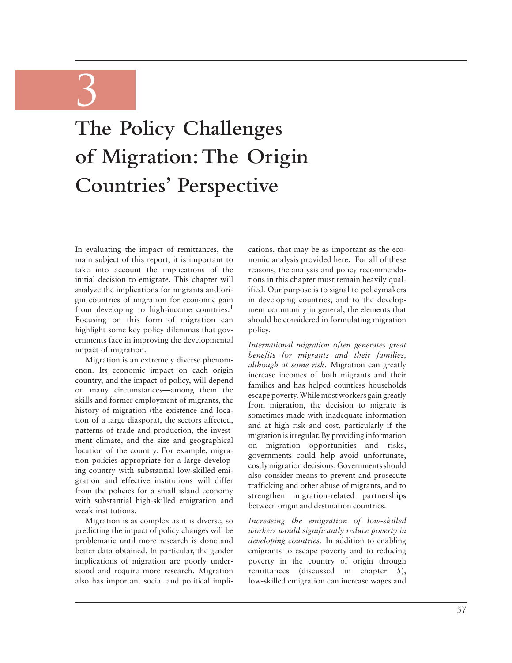3

# **The Policy Challenges of Migration:The Origin Countries' Perspective**

In evaluating the impact of remittances, the main subject of this report, it is important to take into account the implications of the initial decision to emigrate. This chapter will analyze the implications for migrants and origin countries of migration for economic gain from developing to high-income countries.1 Focusing on this form of migration can highlight some key policy dilemmas that governments face in improving the developmental impact of migration.

Migration is an extremely diverse phenomenon. Its economic impact on each origin country, and the impact of policy, will depend on many circumstances—among them the skills and former employment of migrants, the history of migration (the existence and location of a large diaspora), the sectors affected, patterns of trade and production, the investment climate, and the size and geographical location of the country. For example, migration policies appropriate for a large developing country with substantial low-skilled emigration and effective institutions will differ from the policies for a small island economy with substantial high-skilled emigration and weak institutions.

Migration is as complex as it is diverse, so predicting the impact of policy changes will be problematic until more research is done and better data obtained. In particular, the gender implications of migration are poorly understood and require more research. Migration also has important social and political implications, that may be as important as the economic analysis provided here. For all of these reasons, the analysis and policy recommendations in this chapter must remain heavily qualified. Our purpose is to signal to policymakers in developing countries, and to the development community in general, the elements that should be considered in formulating migration policy.

*International migration often generates great benefits for migrants and their families, although at some risk.* Migration can greatly increase incomes of both migrants and their families and has helped countless households escape poverty. While most workers gain greatly from migration, the decision to migrate is sometimes made with inadequate information and at high risk and cost, particularly if the migration is irregular. By providing information on migration opportunities and risks, governments could help avoid unfortunate, costly migration decisions. Governments should also consider means to prevent and prosecute trafficking and other abuse of migrants, and to strengthen migration-related partnerships between origin and destination countries.

*Increasing the emigration of low-skilled workers would significantly reduce poverty in developing countries.* In addition to enabling emigrants to escape poverty and to reducing poverty in the country of origin through remittances (discussed in chapter 5), low-skilled emigration can increase wages and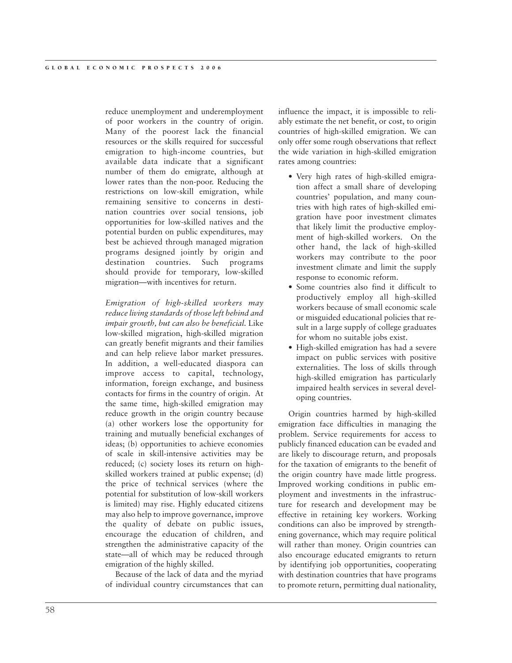reduce unemployment and underemployment of poor workers in the country of origin. Many of the poorest lack the financial resources or the skills required for successful emigration to high-income countries, but available data indicate that a significant number of them do emigrate, although at lower rates than the non-poor. Reducing the restrictions on low-skill emigration, while remaining sensitive to concerns in destination countries over social tensions, job opportunities for low-skilled natives and the potential burden on public expenditures, may best be achieved through managed migration programs designed jointly by origin and destination countries. Such programs should provide for temporary, low-skilled migration—with incentives for return.

*Emigration of high-skilled workers may reduce living standards of those left behind and impair growth, but can also be beneficial.* Like low-skilled migration, high-skilled migration can greatly benefit migrants and their families and can help relieve labor market pressures. In addition, a well-educated diaspora can improve access to capital, technology, information, foreign exchange, and business contacts for firms in the country of origin. At the same time, high-skilled emigration may reduce growth in the origin country because (a) other workers lose the opportunity for training and mutually beneficial exchanges of ideas; (b) opportunities to achieve economies of scale in skill-intensive activities may be reduced; (c) society loses its return on highskilled workers trained at public expense; (d) the price of technical services (where the potential for substitution of low-skill workers is limited) may rise. Highly educated citizens may also help to improve governance, improve the quality of debate on public issues, encourage the education of children, and strengthen the administrative capacity of the state—all of which may be reduced through emigration of the highly skilled.

Because of the lack of data and the myriad of individual country circumstances that can influence the impact, it is impossible to reliably estimate the net benefit, or cost, to origin countries of high-skilled emigration. We can only offer some rough observations that reflect the wide variation in high-skilled emigration rates among countries:

- Very high rates of high-skilled emigration affect a small share of developing countries' population, and many countries with high rates of high-skilled emigration have poor investment climates that likely limit the productive employment of high-skilled workers. On the other hand, the lack of high-skilled workers may contribute to the poor investment climate and limit the supply response to economic reform.
- Some countries also find it difficult to productively employ all high-skilled workers because of small economic scale or misguided educational policies that result in a large supply of college graduates for whom no suitable jobs exist.
- High-skilled emigration has had a severe impact on public services with positive externalities. The loss of skills through high-skilled emigration has particularly impaired health services in several developing countries.

Origin countries harmed by high-skilled emigration face difficulties in managing the problem. Service requirements for access to publicly financed education can be evaded and are likely to discourage return, and proposals for the taxation of emigrants to the benefit of the origin country have made little progress. Improved working conditions in public employment and investments in the infrastructure for research and development may be effective in retaining key workers. Working conditions can also be improved by strengthening governance, which may require political will rather than money. Origin countries can also encourage educated emigrants to return by identifying job opportunities, cooperating with destination countries that have programs to promote return, permitting dual nationality,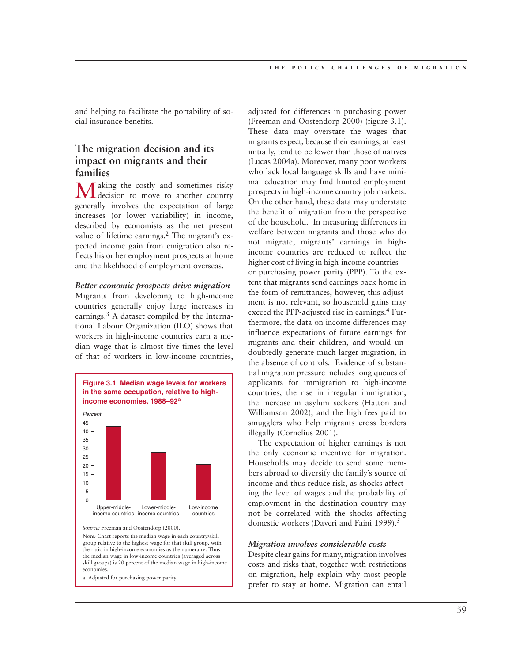and helping to facilitate the portability of social insurance benefits.

## **The migration decision and its impact on migrants and their families**

Making the costly and sometimes risky decision to move to another country generally involves the expectation of large increases (or lower variability) in income, described by economists as the net present value of lifetime earnings.<sup>2</sup> The migrant's expected income gain from emigration also reflects his or her employment prospects at home and the likelihood of employment overseas.

#### *Better economic prospects drive migration*

Migrants from developing to high-income countries generally enjoy large increases in earnings.3 A dataset compiled by the International Labour Organization (ILO) shows that workers in high-income countries earn a median wage that is almost five times the level of that of workers in low-income countries,



*Source:* Freeman and Oostendorp (2000).

*Note:* Chart reports the median wage in each country/skill group relative to the highest wage for that skill group, with the ratio in high-income economies as the numeraire. Thus the median wage in low-income countries (averaged across skill groups) is 20 percent of the median wage in high-income economies.

a. Adjusted for purchasing power parity.

adjusted for differences in purchasing power (Freeman and Oostendorp 2000) (figure 3.1). These data may overstate the wages that migrants expect, because their earnings, at least initially, tend to be lower than those of natives (Lucas 2004a). Moreover, many poor workers who lack local language skills and have minimal education may find limited employment prospects in high-income country job markets. On the other hand, these data may understate the benefit of migration from the perspective of the household. In measuring differences in welfare between migrants and those who do not migrate, migrants' earnings in highincome countries are reduced to reflect the higher cost of living in high-income countries or purchasing power parity (PPP). To the extent that migrants send earnings back home in the form of remittances, however, this adjustment is not relevant, so household gains may exceed the PPP-adjusted rise in earnings.4 Furthermore, the data on income differences may influence expectations of future earnings for migrants and their children, and would undoubtedly generate much larger migration, in the absence of controls. Evidence of substantial migration pressure includes long queues of applicants for immigration to high-income countries, the rise in irregular immigration, the increase in asylum seekers (Hatton and Williamson 2002), and the high fees paid to smugglers who help migrants cross borders illegally (Cornelius 2001).

The expectation of higher earnings is not the only economic incentive for migration. Households may decide to send some members abroad to diversify the family's source of income and thus reduce risk, as shocks affecting the level of wages and the probability of employment in the destination country may not be correlated with the shocks affecting domestic workers (Daveri and Faini 1999).<sup>5</sup>

#### *Migration involves considerable costs*

Despite clear gains for many, migration involves costs and risks that, together with restrictions on migration, help explain why most people prefer to stay at home. Migration can entail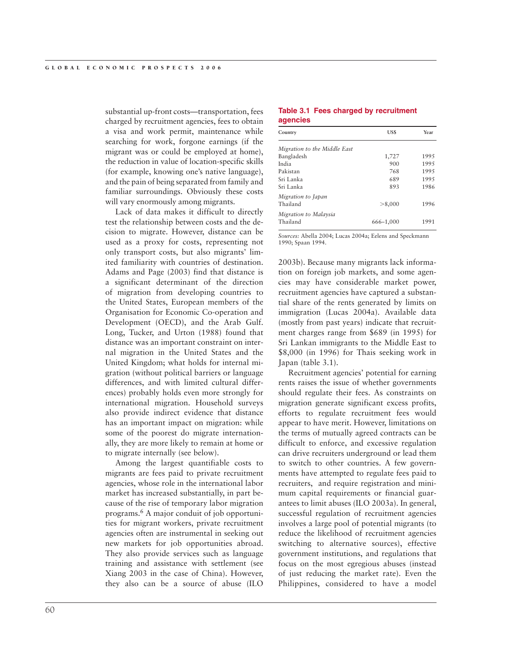substantial up-front costs—transportation, fees charged by recruitment agencies, fees to obtain a visa and work permit, maintenance while searching for work, forgone earnings (if the migrant was or could be employed at home), the reduction in value of location-specific skills (for example, knowing one's native language), and the pain of being separated from family and familiar surroundings. Obviously these costs will vary enormously among migrants.

Lack of data makes it difficult to directly test the relationship between costs and the decision to migrate. However, distance can be used as a proxy for costs, representing not only transport costs, but also migrants' limited familiarity with countries of destination. Adams and Page (2003) find that distance is a significant determinant of the direction of migration from developing countries to the United States, European members of the Organisation for Economic Co-operation and Development (OECD), and the Arab Gulf. Long, Tucker, and Urton (1988) found that distance was an important constraint on internal migration in the United States and the United Kingdom; what holds for internal migration (without political barriers or language differences, and with limited cultural differences) probably holds even more strongly for international migration. Household surveys also provide indirect evidence that distance has an important impact on migration: while some of the poorest do migrate internationally, they are more likely to remain at home or to migrate internally (see below).

Among the largest quantifiable costs to migrants are fees paid to private recruitment agencies, whose role in the international labor market has increased substantially, in part because of the rise of temporary labor migration programs.6 A major conduit of job opportunities for migrant workers, private recruitment agencies often are instrumental in seeking out new markets for job opportunities abroad. They also provide services such as language training and assistance with settlement (see Xiang 2003 in the case of China). However, they also can be a source of abuse (ILO

#### **Table 3.1 Fees charged by recruitment agencies**

| Country                           | <b>USS</b> | Year |  |
|-----------------------------------|------------|------|--|
| Migration to the Middle East      |            |      |  |
| Bangladesh                        | 1,727      | 1995 |  |
| India                             | 900        | 1995 |  |
| Pakistan                          | 768        | 1995 |  |
| Sri Lanka                         | 689        | 1995 |  |
| Sri Lanka                         | 893        | 1986 |  |
| Migration to Japan<br>Thailand    | > 8,000    | 1996 |  |
| Migration to Malaysia<br>Thailand | 666-1,000  | 1991 |  |

*Sources:* Abella 2004; Lucas 2004a; Eelens and Speckmann 1990; Spaan 1994.

2003b). Because many migrants lack information on foreign job markets, and some agencies may have considerable market power, recruitment agencies have captured a substantial share of the rents generated by limits on immigration (Lucas 2004a). Available data (mostly from past years) indicate that recruitment charges range from \$689 (in 1995) for Sri Lankan immigrants to the Middle East to \$8,000 (in 1996) for Thais seeking work in Japan (table 3.1).

Recruitment agencies' potential for earning rents raises the issue of whether governments should regulate their fees. As constraints on migration generate significant excess profits, efforts to regulate recruitment fees would appear to have merit. However, limitations on the terms of mutually agreed contracts can be difficult to enforce, and excessive regulation can drive recruiters underground or lead them to switch to other countries. A few governments have attempted to regulate fees paid to recruiters, and require registration and minimum capital requirements or financial guarantees to limit abuses (ILO 2003a). In general, successful regulation of recruitment agencies involves a large pool of potential migrants (to reduce the likelihood of recruitment agencies switching to alternative sources), effective government institutions, and regulations that focus on the most egregious abuses (instead of just reducing the market rate). Even the Philippines, considered to have a model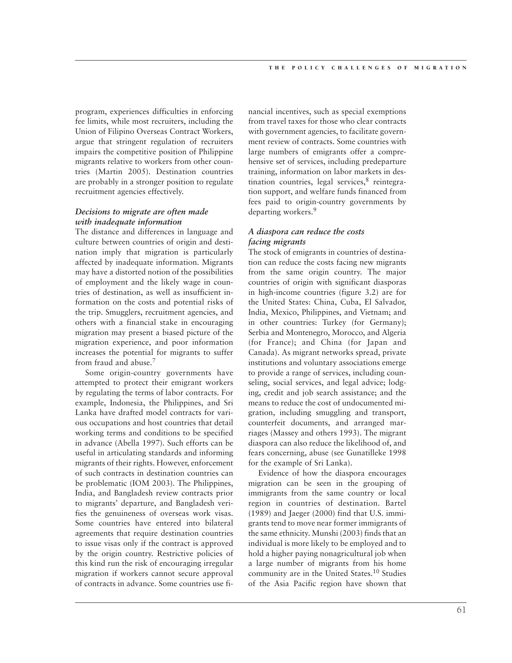program, experiences difficulties in enforcing fee limits, while most recruiters, including the Union of Filipino Overseas Contract Workers, argue that stringent regulation of recruiters impairs the competitive position of Philippine migrants relative to workers from other countries (Martin 2005). Destination countries are probably in a stronger position to regulate recruitment agencies effectively.

#### *Decisions to migrate are often made with inadequate information*

The distance and differences in language and culture between countries of origin and destination imply that migration is particularly affected by inadequate information. Migrants may have a distorted notion of the possibilities of employment and the likely wage in countries of destination, as well as insufficient information on the costs and potential risks of the trip. Smugglers, recruitment agencies, and others with a financial stake in encouraging migration may present a biased picture of the migration experience, and poor information increases the potential for migrants to suffer from fraud and abuse.7

Some origin-country governments have attempted to protect their emigrant workers by regulating the terms of labor contracts. For example, Indonesia, the Philippines, and Sri Lanka have drafted model contracts for various occupations and host countries that detail working terms and conditions to be specified in advance (Abella 1997). Such efforts can be useful in articulating standards and informing migrants of their rights. However, enforcement of such contracts in destination countries can be problematic (IOM 2003). The Philippines, India, and Bangladesh review contracts prior to migrants' departure, and Bangladesh verifies the genuineness of overseas work visas. Some countries have entered into bilateral agreements that require destination countries to issue visas only if the contract is approved by the origin country. Restrictive policies of this kind run the risk of encouraging irregular migration if workers cannot secure approval of contracts in advance. Some countries use fi-

nancial incentives, such as special exemptions from travel taxes for those who clear contracts with government agencies, to facilitate government review of contracts. Some countries with large numbers of emigrants offer a comprehensive set of services, including predeparture training, information on labor markets in destination countries, legal services, $8$  reintegration support, and welfare funds financed from fees paid to origin-country governments by departing workers.<sup>9</sup>

#### *A diaspora can reduce the costs facing migrants*

The stock of emigrants in countries of destination can reduce the costs facing new migrants from the same origin country. The major countries of origin with significant diasporas in high-income countries (figure 3.2) are for the United States: China, Cuba, El Salvador, India, Mexico, Philippines, and Vietnam; and in other countries: Turkey (for Germany); Serbia and Montenegro, Morocco, and Algeria (for France); and China (for Japan and Canada). As migrant networks spread, private institutions and voluntary associations emerge to provide a range of services, including counseling, social services, and legal advice; lodging, credit and job search assistance; and the means to reduce the cost of undocumented migration, including smuggling and transport, counterfeit documents, and arranged marriages (Massey and others 1993). The migrant diaspora can also reduce the likelihood of, and fears concerning, abuse (see Gunatilleke 1998 for the example of Sri Lanka).

Evidence of how the diaspora encourages migration can be seen in the grouping of immigrants from the same country or local region in countries of destination. Bartel (1989) and Jaeger (2000) find that U.S. immigrants tend to move near former immigrants of the same ethnicity. Munshi (2003) finds that an individual is more likely to be employed and to hold a higher paying nonagricultural job when a large number of migrants from his home community are in the United States.10 Studies of the Asia Pacific region have shown that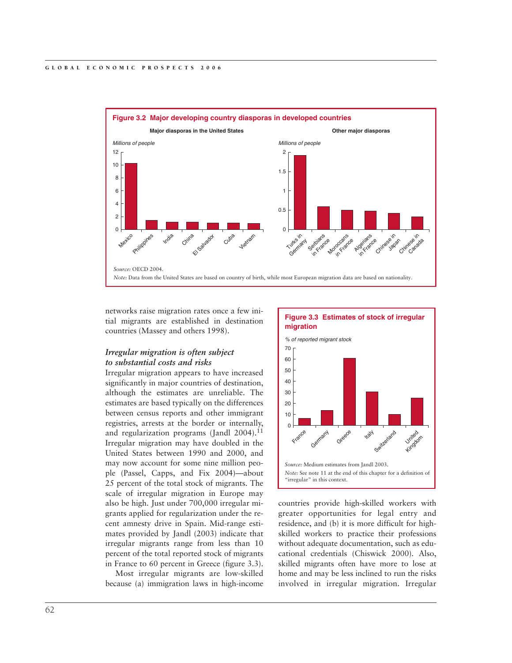

networks raise migration rates once a few initial migrants are established in destination countries (Massey and others 1998).

#### *Irregular migration is often subject to substantial costs and risks*

Irregular migration appears to have increased significantly in major countries of destination, although the estimates are unreliable. The estimates are based typically on the differences between census reports and other immigrant registries, arrests at the border or internally, and regularization programs (Jandl 2004).<sup>11</sup> Irregular migration may have doubled in the United States between 1990 and 2000, and may now account for some nine million people (Passel, Capps, and Fix 2004)—about 25 percent of the total stock of migrants. The scale of irregular migration in Europe may also be high. Just under 700,000 irregular migrants applied for regularization under the recent amnesty drive in Spain. Mid-range estimates provided by Jandl (2003) indicate that irregular migrants range from less than 10 percent of the total reported stock of migrants in France to 60 percent in Greece (figure 3.3).

Most irregular migrants are low-skilled because (a) immigration laws in high-income



countries provide high-skilled workers with greater opportunities for legal entry and residence, and (b) it is more difficult for highskilled workers to practice their professions without adequate documentation, such as educational credentials (Chiswick 2000). Also, skilled migrants often have more to lose at home and may be less inclined to run the risks involved in irregular migration. Irregular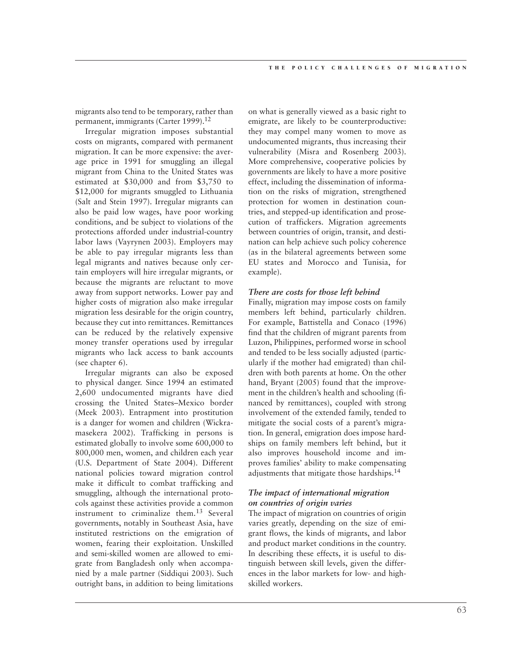migrants also tend to be temporary, rather than permanent, immigrants (Carter 1999).<sup>12</sup>

Irregular migration imposes substantial costs on migrants, compared with permanent migration. It can be more expensive: the average price in 1991 for smuggling an illegal migrant from China to the United States was estimated at \$30,000 and from \$3,750 to \$12,000 for migrants smuggled to Lithuania (Salt and Stein 1997). Irregular migrants can also be paid low wages, have poor working conditions, and be subject to violations of the protections afforded under industrial-country labor laws (Vayrynen 2003). Employers may be able to pay irregular migrants less than legal migrants and natives because only certain employers will hire irregular migrants, or because the migrants are reluctant to move away from support networks. Lower pay and higher costs of migration also make irregular migration less desirable for the origin country, because they cut into remittances. Remittances can be reduced by the relatively expensive money transfer operations used by irregular migrants who lack access to bank accounts (see chapter 6).

Irregular migrants can also be exposed to physical danger. Since 1994 an estimated 2,600 undocumented migrants have died crossing the United States–Mexico border (Meek 2003). Entrapment into prostitution is a danger for women and children (Wickramasekera 2002). Trafficking in persons is estimated globally to involve some 600,000 to 800,000 men, women, and children each year (U.S. Department of State 2004). Different national policies toward migration control make it difficult to combat trafficking and smuggling, although the international protocols against these activities provide a common instrument to criminalize them.<sup>13</sup> Several governments, notably in Southeast Asia, have instituted restrictions on the emigration of women, fearing their exploitation. Unskilled and semi-skilled women are allowed to emigrate from Bangladesh only when accompanied by a male partner (Siddiqui 2003). Such outright bans, in addition to being limitations

on what is generally viewed as a basic right to emigrate, are likely to be counterproductive: they may compel many women to move as undocumented migrants, thus increasing their vulnerability (Misra and Rosenberg 2003). More comprehensive, cooperative policies by governments are likely to have a more positive effect, including the dissemination of information on the risks of migration, strengthened protection for women in destination countries, and stepped-up identification and prosecution of traffickers. Migration agreements between countries of origin, transit, and destination can help achieve such policy coherence (as in the bilateral agreements between some EU states and Morocco and Tunisia, for example).

#### *There are costs for those left behind*

Finally, migration may impose costs on family members left behind, particularly children. For example, Battistella and Conaco (1996) find that the children of migrant parents from Luzon, Philippines, performed worse in school and tended to be less socially adjusted (particularly if the mother had emigrated) than children with both parents at home. On the other hand, Bryant (2005) found that the improvement in the children's health and schooling (financed by remittances), coupled with strong involvement of the extended family, tended to mitigate the social costs of a parent's migration. In general, emigration does impose hardships on family members left behind, but it also improves household income and improves families' ability to make compensating adjustments that mitigate those hardships.14

#### *The impact of international migration on countries of origin varies*

The impact of migration on countries of origin varies greatly, depending on the size of emigrant flows, the kinds of migrants, and labor and product market conditions in the country. In describing these effects, it is useful to distinguish between skill levels, given the differences in the labor markets for low- and highskilled workers.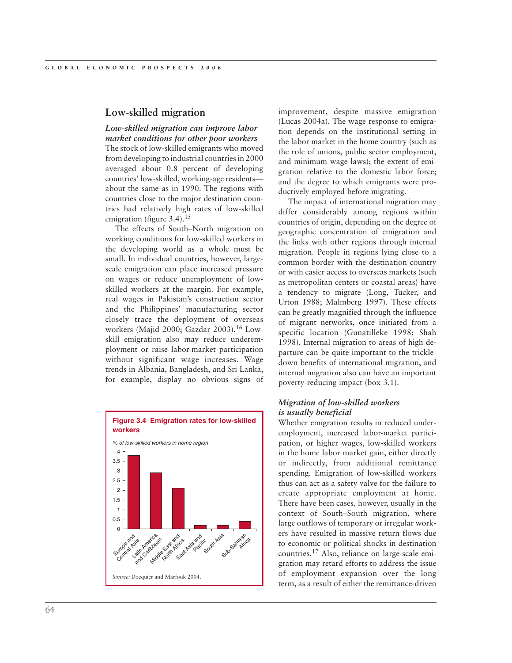## **Low-skilled migration**

*Low-skilled migration can improve labor market conditions for other poor workers* The stock of low-skilled emigrants who moved from developing to industrial countries in 2000 averaged about 0.8 percent of developing countries' low-skilled, working-age residents about the same as in 1990. The regions with countries close to the major destination countries had relatively high rates of low-skilled emigration (figure 3.4).<sup>15</sup>

The effects of South–North migration on working conditions for low-skilled workers in the developing world as a whole must be small. In individual countries, however, largescale emigration can place increased pressure on wages or reduce unemployment of lowskilled workers at the margin. For example, real wages in Pakistan's construction sector and the Philippines' manufacturing sector closely trace the deployment of overseas workers (Majid 2000; Gazdar 2003).16 Lowskill emigration also may reduce underemployment or raise labor-market participation without significant wage increases. Wage trends in Albania, Bangladesh, and Sri Lanka, for example, display no obvious signs of



improvement, despite massive emigration (Lucas 2004a). The wage response to emigration depends on the institutional setting in the labor market in the home country (such as the role of unions, public sector employment, and minimum wage laws); the extent of emigration relative to the domestic labor force; and the degree to which emigrants were productively employed before migrating.

The impact of international migration may differ considerably among regions within countries of origin, depending on the degree of geographic concentration of emigration and the links with other regions through internal migration. People in regions lying close to a common border with the destination country or with easier access to overseas markets (such as metropolitan centers or coastal areas) have a tendency to migrate (Long, Tucker, and Urton 1988; Malmberg 1997). These effects can be greatly magnified through the influence of migrant networks, once initiated from a specific location (Gunatilleke 1998; Shah 1998). Internal migration to areas of high departure can be quite important to the trickledown benefits of international migration, and internal migration also can have an important poverty-reducing impact (box 3.1).

#### *Migration of low-skilled workers is usually beneficial*

Whether emigration results in reduced underemployment, increased labor-market participation, or higher wages, low-skilled workers in the home labor market gain, either directly or indirectly, from additional remittance spending. Emigration of low-skilled workers thus can act as a safety valve for the failure to create appropriate employment at home. There have been cases, however, usually in the context of South–South migration, where large outflows of temporary or irregular workers have resulted in massive return flows due to economic or political shocks in destination countries.17 Also, reliance on large-scale emigration may retard efforts to address the issue of employment expansion over the long term, as a result of either the remittance-driven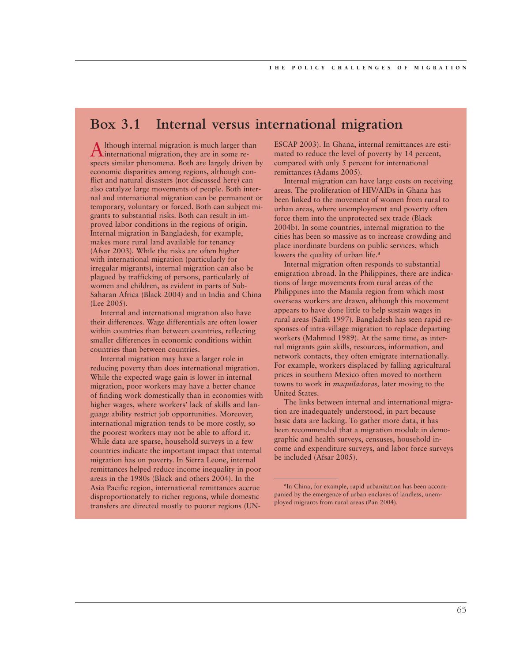# **Box 3.1 Internal versus international migration**

Although internal migration is much larger than international migration, they are in some respects similar phenomena. Both are largely driven by economic disparities among regions, although conflict and natural disasters (not discussed here) can also catalyze large movements of people. Both internal and international migration can be permanent or temporary, voluntary or forced. Both can subject migrants to substantial risks. Both can result in improved labor conditions in the regions of origin. Internal migration in Bangladesh, for example, makes more rural land available for tenancy (Afsar 2003). While the risks are often higher with international migration (particularly for irregular migrants), internal migration can also be plagued by trafficking of persons, particularly of women and children, as evident in parts of Sub-Saharan Africa (Black 2004) and in India and China (Lee 2005).

Internal and international migration also have their differences. Wage differentials are often lower within countries than between countries, reflecting smaller differences in economic conditions within countries than between countries.

Internal migration may have a larger role in reducing poverty than does international migration. While the expected wage gain is lower in internal migration, poor workers may have a better chance of finding work domestically than in economies with higher wages, where workers' lack of skills and language ability restrict job opportunities. Moreover, international migration tends to be more costly, so the poorest workers may not be able to afford it. While data are sparse, household surveys in a few countries indicate the important impact that internal migration has on poverty. In Sierra Leone, internal remittances helped reduce income inequality in poor areas in the 1980s (Black and others 2004). In the Asia Pacific region, international remittances accrue disproportionately to richer regions, while domestic transfers are directed mostly to poorer regions (UN-

ESCAP 2003). In Ghana, internal remittances are estimated to reduce the level of poverty by 14 percent, compared with only 5 percent for international remittances (Adams 2005).

Internal migration can have large costs on receiving areas. The proliferation of HIV/AIDs in Ghana has been linked to the movement of women from rural to urban areas, where unemployment and poverty often force them into the unprotected sex trade (Black 2004b). In some countries, internal migration to the cities has been so massive as to increase crowding and place inordinate burdens on public services, which lowers the quality of urban life.<sup>a</sup>

Internal migration often responds to substantial emigration abroad. In the Philippines, there are indications of large movements from rural areas of the Philippines into the Manila region from which most overseas workers are drawn, although this movement appears to have done little to help sustain wages in rural areas (Saith 1997). Bangladesh has seen rapid responses of intra-village migration to replace departing workers (Mahmud 1989). At the same time, as internal migrants gain skills, resources, information, and network contacts, they often emigrate internationally. For example, workers displaced by falling agricultural prices in southern Mexico often moved to northern towns to work in *maquiladoras,* later moving to the United States.

The links between internal and international migration are inadequately understood, in part because basic data are lacking. To gather more data, it has been recommended that a migration module in demographic and health surveys, censuses, household income and expenditure surveys, and labor force surveys be included (Afsar 2005).

aIn China, for example, rapid urbanization has been accompanied by the emergence of urban enclaves of landless, unemployed migrants from rural areas (Pan 2004).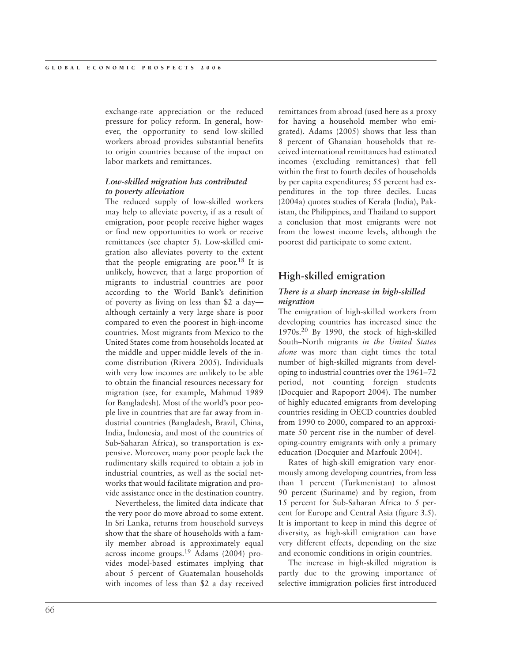exchange-rate appreciation or the reduced pressure for policy reform. In general, however, the opportunity to send low-skilled workers abroad provides substantial benefits to origin countries because of the impact on labor markets and remittances.

#### *Low-skilled migration has contributed to poverty alleviation*

The reduced supply of low-skilled workers may help to alleviate poverty, if as a result of emigration, poor people receive higher wages or find new opportunities to work or receive remittances (see chapter 5). Low-skilled emigration also alleviates poverty to the extent that the people emigrating are poor.<sup>18</sup> It is unlikely, however, that a large proportion of migrants to industrial countries are poor according to the World Bank's definition of poverty as living on less than \$2 a day although certainly a very large share is poor compared to even the poorest in high-income countries. Most migrants from Mexico to the United States come from households located at the middle and upper-middle levels of the income distribution (Rivera 2005). Individuals with very low incomes are unlikely to be able to obtain the financial resources necessary for migration (see, for example, Mahmud 1989 for Bangladesh). Most of the world's poor people live in countries that are far away from industrial countries (Bangladesh, Brazil, China, India, Indonesia, and most of the countries of Sub-Saharan Africa), so transportation is expensive. Moreover, many poor people lack the rudimentary skills required to obtain a job in industrial countries, as well as the social networks that would facilitate migration and provide assistance once in the destination country.

Nevertheless, the limited data indicate that the very poor do move abroad to some extent. In Sri Lanka, returns from household surveys show that the share of households with a family member abroad is approximately equal across income groups.19 Adams (2004) provides model-based estimates implying that about 5 percent of Guatemalan households with incomes of less than \$2 a day received

remittances from abroad (used here as a proxy for having a household member who emigrated). Adams (2005) shows that less than 8 percent of Ghanaian households that received international remittances had estimated incomes (excluding remittances) that fell within the first to fourth deciles of households by per capita expenditures; 55 percent had expenditures in the top three deciles. Lucas (2004a) quotes studies of Kerala (India), Pakistan, the Philippines, and Thailand to support a conclusion that most emigrants were not from the lowest income levels, although the poorest did participate to some extent.

## **High-skilled emigration**

#### *There is a sharp increase in high-skilled migration*

The emigration of high-skilled workers from developing countries has increased since the 1970s.20 By 1990, the stock of high-skilled South–North migrants *in the United States alone* was more than eight times the total number of high-skilled migrants from developing to industrial countries over the 1961–72 period, not counting foreign students (Docquier and Rapoport 2004). The number of highly educated emigrants from developing countries residing in OECD countries doubled from 1990 to 2000, compared to an approximate 50 percent rise in the number of developing-country emigrants with only a primary education (Docquier and Marfouk 2004).

Rates of high-skill emigration vary enormously among developing countries, from less than 1 percent (Turkmenistan) to almost 90 percent (Suriname) and by region, from 15 percent for Sub-Saharan Africa to 5 percent for Europe and Central Asia (figure 3.5). It is important to keep in mind this degree of diversity, as high-skill emigration can have very different effects, depending on the size and economic conditions in origin countries.

The increase in high-skilled migration is partly due to the growing importance of selective immigration policies first introduced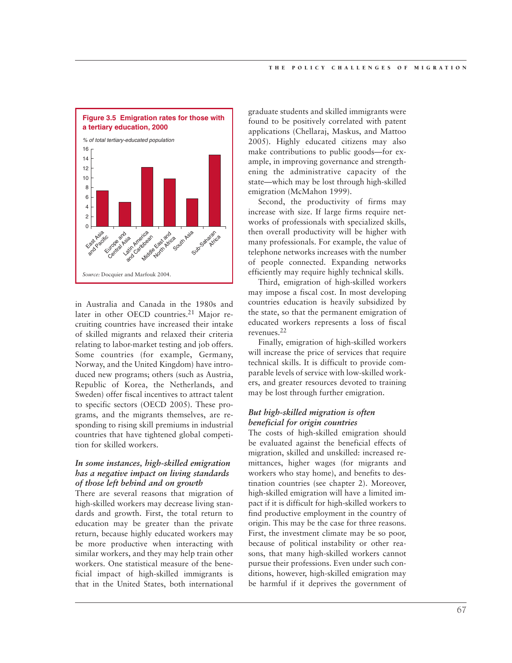

in Australia and Canada in the 1980s and later in other OECD countries.<sup>21</sup> Major recruiting countries have increased their intake of skilled migrants and relaxed their criteria relating to labor-market testing and job offers. Some countries (for example, Germany, Norway, and the United Kingdom) have introduced new programs; others (such as Austria, Republic of Korea, the Netherlands, and Sweden) offer fiscal incentives to attract talent to specific sectors (OECD 2005). These programs, and the migrants themselves, are responding to rising skill premiums in industrial countries that have tightened global competition for skilled workers.

#### *In some instances, high-skilled emigration has a negative impact on living standards of those left behind and on growth*

There are several reasons that migration of high-skilled workers may decrease living standards and growth. First, the total return to education may be greater than the private return, because highly educated workers may be more productive when interacting with similar workers, and they may help train other workers. One statistical measure of the beneficial impact of high-skilled immigrants is that in the United States, both international

graduate students and skilled immigrants were found to be positively correlated with patent applications (Chellaraj, Maskus, and Mattoo 2005). Highly educated citizens may also make contributions to public goods—for example, in improving governance and strengthening the administrative capacity of the state—which may be lost through high-skilled emigration (McMahon 1999).

Second, the productivity of firms may increase with size. If large firms require networks of professionals with specialized skills, then overall productivity will be higher with many professionals. For example, the value of telephone networks increases with the number of people connected. Expanding networks efficiently may require highly technical skills.

Third, emigration of high-skilled workers may impose a fiscal cost. In most developing countries education is heavily subsidized by the state, so that the permanent emigration of educated workers represents a loss of fiscal revenues.22

Finally, emigration of high-skilled workers will increase the price of services that require technical skills. It is difficult to provide comparable levels of service with low-skilled workers, and greater resources devoted to training may be lost through further emigration.

#### *But high-skilled migration is often beneficial for origin countries*

The costs of high-skilled emigration should be evaluated against the beneficial effects of migration, skilled and unskilled: increased remittances, higher wages (for migrants and workers who stay home), and benefits to destination countries (see chapter 2). Moreover, high-skilled emigration will have a limited impact if it is difficult for high-skilled workers to find productive employment in the country of origin. This may be the case for three reasons. First, the investment climate may be so poor, because of political instability or other reasons, that many high-skilled workers cannot pursue their professions. Even under such conditions, however, high-skilled emigration may be harmful if it deprives the government of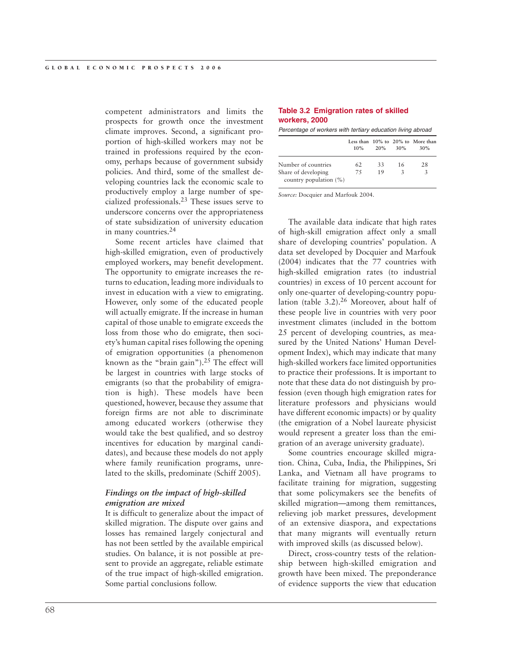competent administrators and limits the prospects for growth once the investment climate improves. Second, a significant proportion of high-skilled workers may not be trained in professions required by the economy, perhaps because of government subsidy policies. And third, some of the smallest developing countries lack the economic scale to productively employ a large number of specialized professionals.23 These issues serve to underscore concerns over the appropriateness of state subsidization of university education in many countries.24

Some recent articles have claimed that high-skilled emigration, even of productively employed workers, may benefit development. The opportunity to emigrate increases the returns to education, leading more individuals to invest in education with a view to emigrating. However, only some of the educated people will actually emigrate. If the increase in human capital of those unable to emigrate exceeds the loss from those who do emigrate, then society's human capital rises following the opening of emigration opportunities (a phenomenon known as the "brain gain").<sup>25</sup> The effect will be largest in countries with large stocks of emigrants (so that the probability of emigration is high). These models have been questioned, however, because they assume that foreign firms are not able to discriminate among educated workers (otherwise they would take the best qualified, and so destroy incentives for education by marginal candidates), and because these models do not apply where family reunification programs, unrelated to the skills, predominate (Schiff 2005).

#### *Findings on the impact of high-skilled emigration are mixed*

It is difficult to generalize about the impact of skilled migration. The dispute over gains and losses has remained largely conjectural and has not been settled by the available empirical studies. On balance, it is not possible at present to provide an aggregate, reliable estimate of the true impact of high-skilled emigration. Some partial conclusions follow.

#### **Table 3.2 Emigration rates of skilled workers, 2000**

Percentage of workers with tertiary education living abroad

|                                                  | 10% | $20\% - 30\%$ |    | Less than 10% to 20% to More than<br>30% |
|--------------------------------------------------|-----|---------------|----|------------------------------------------|
| Number of countries                              | 62  | -33           | 16 | 28                                       |
| Share of developing<br>country population $(\%)$ | 75  | 19            | 3  | 3                                        |

*Source:* Docquier and Marfouk 2004.

The available data indicate that high rates of high-skill emigration affect only a small share of developing countries' population. A data set developed by Docquier and Marfouk (2004) indicates that the 77 countries with high-skilled emigration rates (to industrial countries) in excess of 10 percent account for only one-quarter of developing-country population (table 3.2).<sup>26</sup> Moreover, about half of these people live in countries with very poor investment climates (included in the bottom 25 percent of developing countries, as measured by the United Nations' Human Development Index), which may indicate that many high-skilled workers face limited opportunities to practice their professions. It is important to note that these data do not distinguish by profession (even though high emigration rates for literature professors and physicians would have different economic impacts) or by quality (the emigration of a Nobel laureate physicist would represent a greater loss than the emigration of an average university graduate).

Some countries encourage skilled migration. China, Cuba, India, the Philippines, Sri Lanka, and Vietnam all have programs to facilitate training for migration, suggesting that some policymakers see the benefits of skilled migration—among them remittances, relieving job market pressures, development of an extensive diaspora, and expectations that many migrants will eventually return with improved skills (as discussed below).

Direct, cross-country tests of the relationship between high-skilled emigration and growth have been mixed. The preponderance of evidence supports the view that education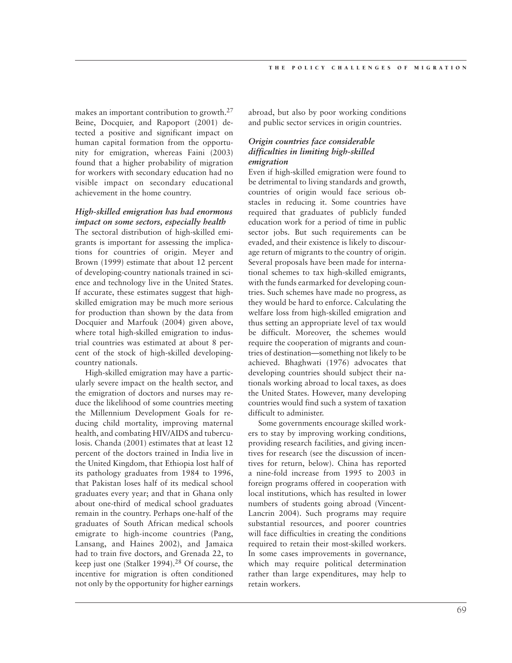makes an important contribution to growth.27 Beine, Docquier, and Rapoport (2001) detected a positive and significant impact on human capital formation from the opportunity for emigration, whereas Faini (2003) found that a higher probability of migration for workers with secondary education had no visible impact on secondary educational achievement in the home country.

#### *High-skilled emigration has had enormous impact on some sectors, especially health*

The sectoral distribution of high-skilled emigrants is important for assessing the implications for countries of origin. Meyer and Brown (1999) estimate that about 12 percent of developing-country nationals trained in science and technology live in the United States. If accurate, these estimates suggest that highskilled emigration may be much more serious for production than shown by the data from Docquier and Marfouk (2004) given above, where total high-skilled emigration to industrial countries was estimated at about 8 percent of the stock of high-skilled developingcountry nationals.

High-skilled emigration may have a particularly severe impact on the health sector, and the emigration of doctors and nurses may reduce the likelihood of some countries meeting the Millennium Development Goals for reducing child mortality, improving maternal health, and combating HIV/AIDS and tuberculosis. Chanda (2001) estimates that at least 12 percent of the doctors trained in India live in the United Kingdom, that Ethiopia lost half of its pathology graduates from 1984 to 1996, that Pakistan loses half of its medical school graduates every year; and that in Ghana only about one-third of medical school graduates remain in the country. Perhaps one-half of the graduates of South African medical schools emigrate to high-income countries (Pang, Lansang, and Haines 2002), and Jamaica had to train five doctors, and Grenada 22, to keep just one (Stalker 1994).<sup>28</sup> Of course, the incentive for migration is often conditioned not only by the opportunity for higher earnings abroad, but also by poor working conditions and public sector services in origin countries.

#### *Origin countries face considerable difficulties in limiting high-skilled emigration*

Even if high-skilled emigration were found to be detrimental to living standards and growth, countries of origin would face serious obstacles in reducing it. Some countries have required that graduates of publicly funded education work for a period of time in public sector jobs. But such requirements can be evaded, and their existence is likely to discourage return of migrants to the country of origin. Several proposals have been made for international schemes to tax high-skilled emigrants, with the funds earmarked for developing countries. Such schemes have made no progress, as they would be hard to enforce. Calculating the welfare loss from high-skilled emigration and thus setting an appropriate level of tax would be difficult. Moreover, the schemes would require the cooperation of migrants and countries of destination—something not likely to be achieved. Bhaghwati (1976) advocates that developing countries should subject their nationals working abroad to local taxes, as does the United States. However, many developing countries would find such a system of taxation difficult to administer.

Some governments encourage skilled workers to stay by improving working conditions, providing research facilities, and giving incentives for research (see the discussion of incentives for return, below). China has reported a nine-fold increase from 1995 to 2003 in foreign programs offered in cooperation with local institutions, which has resulted in lower numbers of students going abroad (Vincent-Lancrin 2004). Such programs may require substantial resources, and poorer countries will face difficulties in creating the conditions required to retain their most-skilled workers. In some cases improvements in governance, which may require political determination rather than large expenditures, may help to retain workers.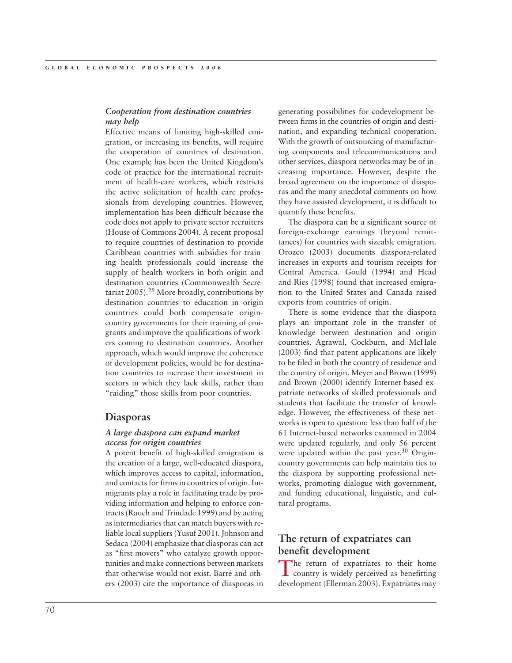#### *Cooperation from destination countries may help*

Effective means of limiting high-skilled emigration, or increasing its benefits, will require the cooperation of countries of destination. One example has been the United Kingdom's code of practice for the international recruitment of health-care workers, which restricts the active solicitation of health care professionals from developing countries. However, implementation has been difficult because the code does not apply to private sector recruiters (House of Commons 2004). A recent proposal to require countries of destination to provide Caribbean countries with subsidies for training health professionals could increase the supply of health workers in both origin and destination countries (Commonwealth Secretariat 2005).29 More broadly, contributions by destination countries to education in origin countries could both compensate origincountry governments for their training of emigrants and improve the qualifications of workers coming to destination countries. Another approach, which would improve the coherence of development policies, would be for destination countries to increase their investment in sectors in which they lack skills, rather than "raiding" those skills from poor countries.

#### **Diasporas**

#### *A large diaspora can expand market access for origin countries*

A potent benefit of high-skilled emigration is the creation of a large, well-educated diaspora, which improves access to capital, information, and contacts for firms in countries of origin. Immigrants play a role in facilitating trade by providing information and helping to enforce contracts (Rauch and Trindade 1999) and by acting as intermediaries that can match buyers with reliable local suppliers (Yusuf 2001). Johnson and Sedaca (2004) emphasize that diasporas can act as "first movers" who catalyze growth opportunities and make connections between markets that otherwise would not exist. Barré and others (2003) cite the importance of diasporas in generating possibilities for codevelopment between firms in the countries of origin and destination, and expanding technical cooperation. With the growth of outsourcing of manufacturing components and telecommunications and other services, diaspora networks may be of increasing importance. However, despite the broad agreement on the importance of diasporas and the many anecdotal comments on how they have assisted development, it is difficult to quantify these benefits.

The diaspora can be a significant source of foreign-exchange earnings (beyond remittances) for countries with sizeable emigration. Orozco (2003) documents diaspora-related increases in exports and tourism receipts for Central America. Gould (1994) and Head and Ries (1998) found that increased emigration to the United States and Canada raised exports from countries of origin.

There is some evidence that the diaspora plays an important role in the transfer of knowledge between destination and origin countries. Agrawal, Cockburn, and McHale (2003) find that patent applications are likely to be filed in both the country of residence and the country of origin. Meyer and Brown (1999) and Brown (2000) identify Internet-based expatriate networks of skilled professionals and students that facilitate the transfer of knowledge. However, the effectiveness of these networks is open to question: less than half of the 61 Internet-based networks examined in 2004 were updated regularly, and only 56 percent were updated within the past year.<sup>30</sup> Origincountry governments can help maintain ties to the diaspora by supporting professional networks, promoting dialogue with government, and funding educational, linguistic, and cultural programs.

## **The return of expatriates can benefit development**

The return of expatriates to their home<br>country is widely perceived as benefitting development (Ellerman 2003). Expatriates may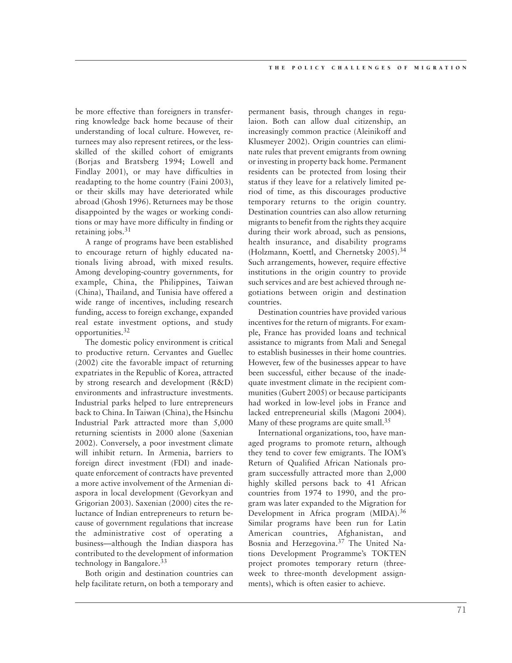be more effective than foreigners in transferring knowledge back home because of their understanding of local culture. However, returnees may also represent retirees, or the lessskilled of the skilled cohort of emigrants (Borjas and Bratsberg 1994; Lowell and Findlay 2001), or may have difficulties in readapting to the home country (Faini 2003), or their skills may have deteriorated while abroad (Ghosh 1996). Returnees may be those disappointed by the wages or working conditions or may have more difficulty in finding or retaining jobs. $31$ 

A range of programs have been established to encourage return of highly educated nationals living abroad, with mixed results. Among developing-country governments, for example, China, the Philippines, Taiwan (China), Thailand, and Tunisia have offered a wide range of incentives, including research funding, access to foreign exchange, expanded real estate investment options, and study opportunities.<sup>32</sup>

The domestic policy environment is critical to productive return. Cervantes and Guellec (2002) cite the favorable impact of returning expatriates in the Republic of Korea, attracted by strong research and development (R&D) environments and infrastructure investments. Industrial parks helped to lure entrepreneurs back to China. In Taiwan (China), the Hsinchu Industrial Park attracted more than 5,000 returning scientists in 2000 alone (Saxenian 2002). Conversely, a poor investment climate will inhibit return. In Armenia, barriers to foreign direct investment (FDI) and inadequate enforcement of contracts have prevented a more active involvement of the Armenian diaspora in local development (Gevorkyan and Grigorian 2003). Saxenian (2000) cites the reluctance of Indian entrepreneurs to return because of government regulations that increase the administrative cost of operating a business—although the Indian diaspora has contributed to the development of information technology in Bangalore.<sup>33</sup>

Both origin and destination countries can help facilitate return, on both a temporary and

permanent basis, through changes in regulaion. Both can allow dual citizenship, an increasingly common practice (Aleinikoff and Klusmeyer 2002). Origin countries can eliminate rules that prevent emigrants from owning or investing in property back home. Permanent residents can be protected from losing their status if they leave for a relatively limited period of time, as this discourages productive temporary returns to the origin country. Destination countries can also allow returning migrants to benefit from the rights they acquire during their work abroad, such as pensions, health insurance, and disability programs (Holzmann, Koettl, and Chernetsky 2005).34 Such arrangements, however, require effective institutions in the origin country to provide such services and are best achieved through negotiations between origin and destination countries.

Destination countries have provided various incentives for the return of migrants. For example, France has provided loans and technical assistance to migrants from Mali and Senegal to establish businesses in their home countries. However, few of the businesses appear to have been successful, either because of the inadequate investment climate in the recipient communities (Gubert 2005) or because participants had worked in low-level jobs in France and lacked entrepreneurial skills (Magoni 2004). Many of these programs are quite small.<sup>35</sup>

International organizations, too, have managed programs to promote return, although they tend to cover few emigrants. The IOM's Return of Qualified African Nationals program successfully attracted more than 2,000 highly skilled persons back to 41 African countries from 1974 to 1990, and the program was later expanded to the Migration for Development in Africa program (MIDA).36 Similar programs have been run for Latin American countries, Afghanistan, and Bosnia and Herzegovina.37 The United Nations Development Programme's TOKTEN project promotes temporary return (threeweek to three-month development assignments), which is often easier to achieve.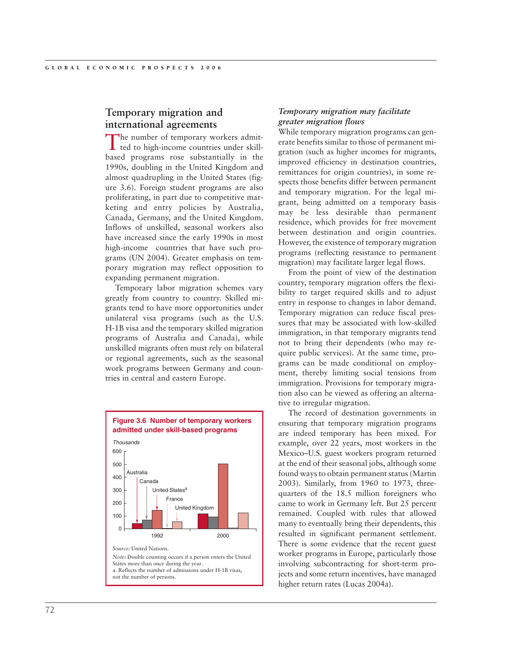## **Temporary migration and international agreements**

The number of temporary workers admit-ted to high-income countries under skillbased programs rose substantially in the 1990s, doubling in the United Kingdom and almost quadrupling in the United States (figure 3.6). Foreign student programs are also proliferating, in part due to competitive marketing and entry policies by Australia, Canada, Germany, and the United Kingdom. Inflows of unskilled, seasonal workers also have increased since the early 1990s in most high-income countries that have such programs (UN 2004). Greater emphasis on temporary migration may reflect opposition to expanding permanent migration.

Temporary labor migration schemes vary greatly from country to country. Skilled migrants tend to have more opportunities under unilateral visa programs (such as the U.S. H-1B visa and the temporary skilled migration programs of Australia and Canada), while unskilled migrants often must rely on bilateral or regional agreements, such as the seasonal work programs between Germany and countries in central and eastern Europe.



#### *Temporary migration may facilitate greater migration flows*

While temporary migration programs can generate benefits similar to those of permanent migration (such as higher incomes for migrants, improved efficiency in destination countries, remittances for origin countries), in some respects those benefits differ between permanent and temporary migration. For the legal migrant, being admitted on a temporary basis may be less desirable than permanent residence, which provides for free movement between destination and origin countries. However, the existence of temporary migration programs (reflecting resistance to permanent migration) may facilitate larger legal flows.

From the point of view of the destination country, temporary migration offers the flexibility to target required skills and to adjust entry in response to changes in labor demand. Temporary migration can reduce fiscal pressures that may be associated with low-skilled immigration, in that temporary migrants tend not to bring their dependents (who may require public services). At the same time, programs can be made conditional on employment, thereby limiting social tensions from immigration. Provisions for temporary migration also can be viewed as offering an alternative to irregular migration.

The record of destination governments in ensuring that temporary migration programs are indeed temporary has been mixed. For example, over 22 years, most workers in the Mexico–U.S. guest workers program returned at the end of their seasonal jobs, although some found ways to obtain permanent status (Martin 2003). Similarly, from 1960 to 1973, threequarters of the 18.5 million foreigners who came to work in Germany left. But 25 percent remained. Coupled with rules that allowed many to eventually bring their dependents, this resulted in significant permanent settlement. There is some evidence that the recent guest worker programs in Europe, particularly those involving subcontracting for short-term projects and some return incentives, have managed higher return rates (Lucas 2004a).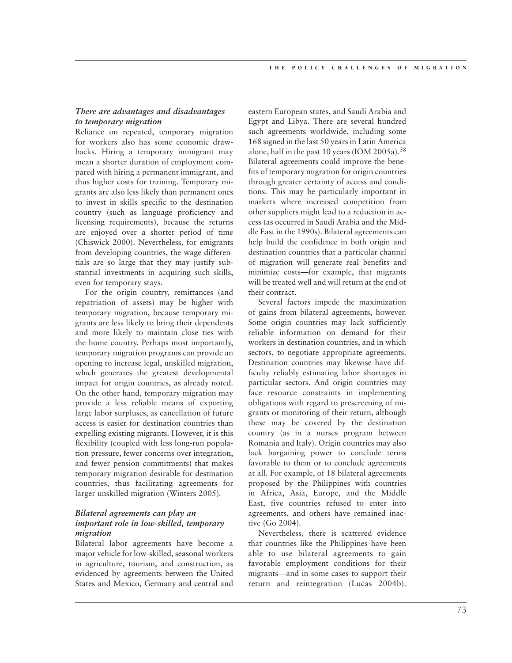### *There are advantages and disadvantages to temporary migration*

Reliance on repeated, temporary migration for workers also has some economic drawbacks. Hiring a temporary immigrant may mean a shorter duration of employment compared with hiring a permanent immigrant, and thus higher costs for training. Temporary migrants are also less likely than permanent ones to invest in skills specific to the destination country (such as language proficiency and licensing requirements), because the returns are enjoyed over a shorter period of time (Chiswick 2000). Nevertheless, for emigrants from developing countries, the wage differentials are so large that they may justify substantial investments in acquiring such skills, even for temporary stays.

For the origin country, remittances (and repatriation of assets) may be higher with temporary migration, because temporary migrants are less likely to bring their dependents and more likely to maintain close ties with the home country. Perhaps most importantly, temporary migration programs can provide an opening to increase legal, unskilled migration, which generates the greatest developmental impact for origin countries, as already noted. On the other hand, temporary migration may provide a less reliable means of exporting large labor surpluses, as cancellation of future access is easier for destination countries than expelling existing migrants. However, it is this flexibility (coupled with less long-run population pressure, fewer concerns over integration, and fewer pension commitments) that makes temporary migration desirable for destination countries, thus facilitating agreements for larger unskilled migration (Winters 2005).

#### *Bilateral agreements can play an important role in low-skilled, temporary migration*

Bilateral labor agreements have become a major vehicle for low-skilled, seasonal workers in agriculture, tourism, and construction, as evidenced by agreements between the United States and Mexico, Germany and central and

eastern European states, and Saudi Arabia and Egypt and Libya. There are several hundred such agreements worldwide, including some 168 signed in the last 50 years in Latin America alone, half in the past 10 years (IOM 2005a).38 Bilateral agreements could improve the benefits of temporary migration for origin countries through greater certainty of access and conditions. This may be particularly important in markets where increased competition from other suppliers might lead to a reduction in access (as occurred in Saudi Arabia and the Middle East in the 1990s). Bilateral agreements can help build the confidence in both origin and destination countries that a particular channel of migration will generate real benefits and minimize costs—for example, that migrants will be treated well and will return at the end of their contract.

Several factors impede the maximization of gains from bilateral agreements, however. Some origin countries may lack sufficiently reliable information on demand for their workers in destination countries, and in which sectors, to negotiate appropriate agreements. Destination countries may likewise have difficulty reliably estimating labor shortages in particular sectors. And origin countries may face resource constraints in implementing obligations with regard to prescreening of migrants or monitoring of their return, although these may be covered by the destination country (as in a nurses program between Romania and Italy). Origin countries may also lack bargaining power to conclude terms favorable to them or to conclude agreements at all. For example, of 18 bilateral agreements proposed by the Philippines with countries in Africa, Asia, Europe, and the Middle East, five countries refused to enter into agreements, and others have remained inactive (Go 2004).

Nevertheless, there is scattered evidence that countries like the Philippines have been able to use bilateral agreements to gain favorable employment conditions for their migrants—and in some cases to support their return and reintegration (Lucas 2004b).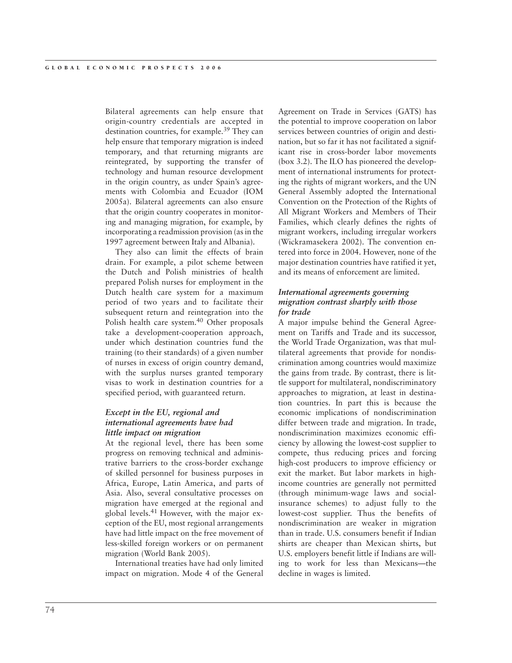Bilateral agreements can help ensure that origin-country credentials are accepted in destination countries, for example.39 They can help ensure that temporary migration is indeed temporary, and that returning migrants are reintegrated, by supporting the transfer of technology and human resource development in the origin country, as under Spain's agreements with Colombia and Ecuador (IOM 2005a). Bilateral agreements can also ensure that the origin country cooperates in monitoring and managing migration, for example, by incorporating a readmission provision (as in the 1997 agreement between Italy and Albania).

They also can limit the effects of brain drain. For example, a pilot scheme between the Dutch and Polish ministries of health prepared Polish nurses for employment in the Dutch health care system for a maximum period of two years and to facilitate their subsequent return and reintegration into the Polish health care system.<sup>40</sup> Other proposals take a development-cooperation approach, under which destination countries fund the training (to their standards) of a given number of nurses in excess of origin country demand, with the surplus nurses granted temporary visas to work in destination countries for a specified period, with guaranteed return.

#### *Except in the EU, regional and international agreements have had little impact on migration*

At the regional level, there has been some progress on removing technical and administrative barriers to the cross-border exchange of skilled personnel for business purposes in Africa, Europe, Latin America, and parts of Asia. Also, several consultative processes on migration have emerged at the regional and global levels.41 However, with the major exception of the EU, most regional arrangements have had little impact on the free movement of less-skilled foreign workers or on permanent migration (World Bank 2005).

International treaties have had only limited impact on migration. Mode 4 of the General Agreement on Trade in Services (GATS) has the potential to improve cooperation on labor services between countries of origin and destination, but so far it has not facilitated a significant rise in cross-border labor movements (box 3.2). The ILO has pioneered the development of international instruments for protecting the rights of migrant workers, and the UN General Assembly adopted the International Convention on the Protection of the Rights of All Migrant Workers and Members of Their Families, which clearly defines the rights of migrant workers, including irregular workers (Wickramasekera 2002). The convention entered into force in 2004. However, none of the major destination countries have ratified it yet, and its means of enforcement are limited.

#### *International agreements governing migration contrast sharply with those for trade*

A major impulse behind the General Agreement on Tariffs and Trade and its successor, the World Trade Organization, was that multilateral agreements that provide for nondiscrimination among countries would maximize the gains from trade. By contrast, there is little support for multilateral, nondiscriminatory approaches to migration, at least in destination countries. In part this is because the economic implications of nondiscrimination differ between trade and migration. In trade, nondiscrimination maximizes economic efficiency by allowing the lowest-cost supplier to compete, thus reducing prices and forcing high-cost producers to improve efficiency or exit the market. But labor markets in highincome countries are generally not permitted (through minimum-wage laws and socialinsurance schemes) to adjust fully to the lowest-cost supplier. Thus the benefits of nondiscrimination are weaker in migration than in trade. U.S. consumers benefit if Indian shirts are cheaper than Mexican shirts, but U.S. employers benefit little if Indians are willing to work for less than Mexicans—the decline in wages is limited.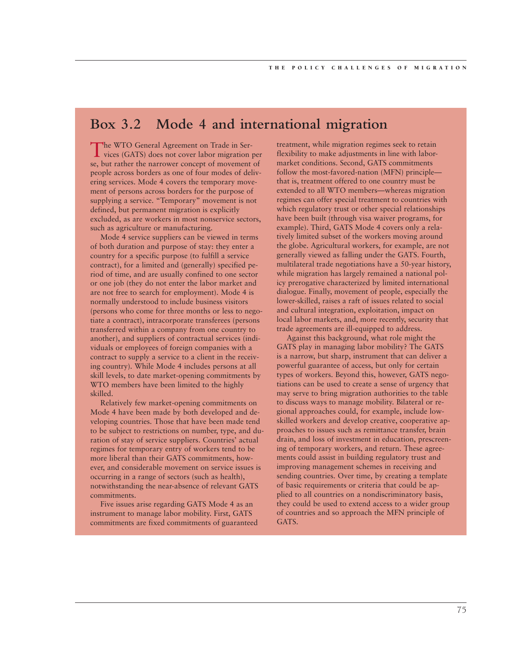# **Box 3.2 Mode 4 and international migration**

The WTO General Agreement on Trade in Ser-vices (GATS) does not cover labor migration per se, but rather the narrower concept of movement of people across borders as one of four modes of delivering services. Mode 4 covers the temporary movement of persons across borders for the purpose of supplying a service. "Temporary" movement is not defined, but permanent migration is explicitly excluded, as are workers in most nonservice sectors, such as agriculture or manufacturing.

Mode 4 service suppliers can be viewed in terms of both duration and purpose of stay: they enter a country for a specific purpose (to fulfill a service contract), for a limited and (generally) specified period of time, and are usually confined to one sector or one job (they do not enter the labor market and are not free to search for employment). Mode 4 is normally understood to include business visitors (persons who come for three months or less to negotiate a contract), intracorporate transferees (persons transferred within a company from one country to another), and suppliers of contractual services (individuals or employees of foreign companies with a contract to supply a service to a client in the receiving country). While Mode 4 includes persons at all skill levels, to date market-opening commitments by WTO members have been limited to the highly skilled.

Relatively few market-opening commitments on Mode 4 have been made by both developed and developing countries. Those that have been made tend to be subject to restrictions on number, type, and duration of stay of service suppliers. Countries' actual regimes for temporary entry of workers tend to be more liberal than their GATS commitments, however, and considerable movement on service issues is occurring in a range of sectors (such as health), notwithstanding the near-absence of relevant GATS commitments.

Five issues arise regarding GATS Mode 4 as an instrument to manage labor mobility. First, GATS commitments are fixed commitments of guaranteed treatment, while migration regimes seek to retain flexibility to make adjustments in line with labormarket conditions. Second, GATS commitments follow the most-favored-nation (MFN) principle that is, treatment offered to one country must be extended to all WTO members—whereas migration regimes can offer special treatment to countries with which regulatory trust or other special relationships have been built (through visa waiver programs, for example). Third, GATS Mode 4 covers only a relatively limited subset of the workers moving around the globe. Agricultural workers, for example, are not generally viewed as falling under the GATS. Fourth, multilateral trade negotiations have a 50-year history, while migration has largely remained a national policy prerogative characterized by limited international dialogue. Finally, movement of people, especially the lower-skilled, raises a raft of issues related to social and cultural integration, exploitation, impact on local labor markets, and, more recently, security that trade agreements are ill-equipped to address.

Against this background, what role might the GATS play in managing labor mobility? The GATS is a narrow, but sharp, instrument that can deliver a powerful guarantee of access, but only for certain types of workers. Beyond this, however, GATS negotiations can be used to create a sense of urgency that may serve to bring migration authorities to the table to discuss ways to manage mobility. Bilateral or regional approaches could, for example, include lowskilled workers and develop creative, cooperative approaches to issues such as remittance transfer, brain drain, and loss of investment in education, prescreening of temporary workers, and return. These agreements could assist in building regulatory trust and improving management schemes in receiving and sending countries. Over time, by creating a template of basic requirements or criteria that could be applied to all countries on a nondiscriminatory basis, they could be used to extend access to a wider group of countries and so approach the MFN principle of GATS.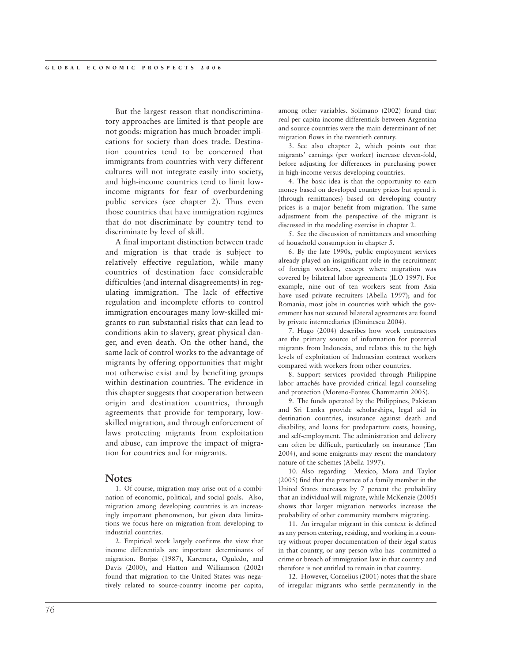But the largest reason that nondiscriminatory approaches are limited is that people are not goods: migration has much broader implications for society than does trade. Destination countries tend to be concerned that immigrants from countries with very different cultures will not integrate easily into society, and high-income countries tend to limit lowincome migrants for fear of overburdening public services (see chapter 2). Thus even those countries that have immigration regimes that do not discriminate by country tend to discriminate by level of skill.

A final important distinction between trade and migration is that trade is subject to relatively effective regulation, while many countries of destination face considerable difficulties (and internal disagreements) in regulating immigration. The lack of effective regulation and incomplete efforts to control immigration encourages many low-skilled migrants to run substantial risks that can lead to conditions akin to slavery, great physical danger, and even death. On the other hand, the same lack of control works to the advantage of migrants by offering opportunities that might not otherwise exist and by benefiting groups within destination countries. The evidence in this chapter suggests that cooperation between origin and destination countries, through agreements that provide for temporary, lowskilled migration, and through enforcement of laws protecting migrants from exploitation and abuse, can improve the impact of migration for countries and for migrants.

#### **Notes**

1. Of course, migration may arise out of a combination of economic, political, and social goals. Also, migration among developing countries is an increasingly important phenomenon, but given data limitations we focus here on migration from developing to industrial countries.

2. Empirical work largely confirms the view that income differentials are important determinants of migration. Borjas (1987), Karemera, Oguledo, and Davis (2000), and Hatton and Williamson (2002) found that migration to the United States was negatively related to source-country income per capita,

among other variables. Solimano (2002) found that real per capita income differentials between Argentina and source countries were the main determinant of net migration flows in the twentieth century.

3. See also chapter 2, which points out that migrants' earnings (per worker) increase eleven-fold, before adjusting for differences in purchasing power in high-income versus developing countries.

4. The basic idea is that the opportunity to earn money based on developed country prices but spend it (through remittances) based on developing country prices is a major benefit from migration. The same adjustment from the perspective of the migrant is discussed in the modeling exercise in chapter 2.

5. See the discussion of remittances and smoothing of household consumption in chapter 5.

6. By the late 1990s, public employment services already played an insignificant role in the recruitment of foreign workers, except where migration was covered by bilateral labor agreements (ILO 1997). For example, nine out of ten workers sent from Asia have used private recruiters (Abella 1997); and for Romania, most jobs in countries with which the government has not secured bilateral agreements are found by private intermediaries (Diminescu 2004).

7. Hugo (2004) describes how work contractors are the primary source of information for potential migrants from Indonesia, and relates this to the high levels of exploitation of Indonesian contract workers compared with workers from other countries.

8. Support services provided through Philippine labor attachés have provided critical legal counseling and protection (Moreno-Fontes Chammartin 2005).

9. The funds operated by the Philippines, Pakistan and Sri Lanka provide scholarships, legal aid in destination countries, insurance against death and disability, and loans for predeparture costs, housing, and self-employment. The administration and delivery can often be difficult, particularly on insurance (Tan 2004), and some emigrants may resent the mandatory nature of the schemes (Abella 1997).

10. Also regarding Mexico, Mora and Taylor (2005) find that the presence of a family member in the United States increases by 7 percent the probability that an individual will migrate, while McKenzie (2005) shows that larger migration networks increase the probability of other community members migrating.

11. An irregular migrant in this context is defined as any person entering, residing, and working in a country without proper documentation of their legal status in that country, or any person who has committed a crime or breach of immigration law in that country and therefore is not entitled to remain in that country.

12. However, Cornelius (2001) notes that the share of irregular migrants who settle permanently in the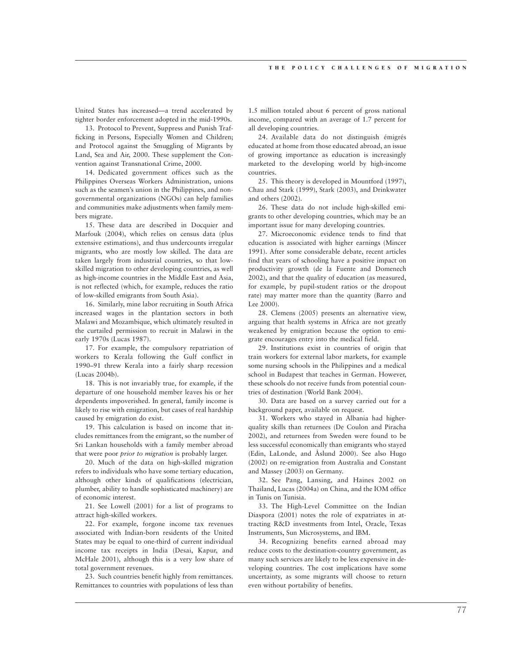United States has increased—a trend accelerated by tighter border enforcement adopted in the mid-1990s.

13. Protocol to Prevent, Suppress and Punish Trafficking in Persons, Especially Women and Children; and Protocol against the Smuggling of Migrants by Land, Sea and Air, 2000. These supplement the Convention against Transnational Crime, 2000.

14. Dedicated government offices such as the Philippines Overseas Workers Administration, unions such as the seamen's union in the Philippines, and nongovernmental organizations (NGOs) can help families and communities make adjustments when family members migrate.

15. These data are described in Docquier and Marfouk (2004), which relies on census data (plus extensive estimations), and thus undercounts irregular migrants, who are mostly low skilled. The data are taken largely from industrial countries, so that lowskilled migration to other developing countries, as well as high-income countries in the Middle East and Asia, is not reflected (which, for example, reduces the ratio of low-skilled emigrants from South Asia).

16. Similarly, mine labor recruiting in South Africa increased wages in the plantation sectors in both Malawi and Mozambique, which ultimately resulted in the curtailed permission to recruit in Malawi in the early 1970s (Lucas 1987).

17. For example, the compulsory repatriation of workers to Kerala following the Gulf conflict in 1990–91 threw Kerala into a fairly sharp recession (Lucas 2004b).

18. This is not invariably true, for example, if the departure of one household member leaves his or her dependents impoverished. In general, family income is likely to rise with emigration, but cases of real hardship caused by emigration do exist.

19. This calculation is based on income that includes remittances from the emigrant, so the number of Sri Lankan households with a family member abroad that were poor *prior to migration* is probably larger.

20. Much of the data on high-skilled migration refers to individuals who have some tertiary education, although other kinds of qualifications (electrician, plumber, ability to handle sophisticated machinery) are of economic interest.

21. See Lowell (2001) for a list of programs to attract high-skilled workers.

22. For example, forgone income tax revenues associated with Indian-born residents of the United States may be equal to one-third of current individual income tax receipts in India (Desai, Kapur, and McHale 2001), although this is a very low share of total government revenues.

23. Such countries benefit highly from remittances. Remittances to countries with populations of less than

1.5 million totaled about 6 percent of gross national income, compared with an average of 1.7 percent for all developing countries.

24. Available data do not distinguish émigrés educated at home from those educated abroad, an issue of growing importance as education is increasingly marketed to the developing world by high-income countries.

25. This theory is developed in Mountford (1997), Chau and Stark (1999), Stark (2003), and Drinkwater and others (2002).

26. These data do not include high-skilled emigrants to other developing countries, which may be an important issue for many developing countries.

27. Microeconomic evidence tends to find that education is associated with higher earnings (Mincer 1991). After some considerable debate, recent articles find that years of schooling have a positive impact on productivity growth (de la Fuente and Domenech 2002), and that the quality of education (as measured, for example, by pupil-student ratios or the dropout rate) may matter more than the quantity (Barro and Lee 2000).

28. Clemens (2005) presents an alternative view, arguing that health systems in Africa are not greatly weakened by emigration because the option to emigrate encourages entry into the medical field.

29. Institutions exist in countries of origin that train workers for external labor markets, for example some nursing schools in the Philippines and a medical school in Budapest that teaches in German. However, these schools do not receive funds from potential countries of destination (World Bank 2004).

30. Data are based on a survey carried out for a background paper, available on request.

31. Workers who stayed in Albania had higherquality skills than returnees (De Coulon and Piracha 2002), and returnees from Sweden were found to be less successful economically than emigrants who stayed (Edin, LaLonde, and Åslund 2000). See also Hugo (2002) on re-emigration from Australia and Constant and Massey (2003) on Germany.

32. See Pang, Lansing, and Haines 2002 on Thailand, Lucas (2004a) on China, and the IOM office in Tunis on Tunisia.

33. The High-Level Committee on the Indian Diaspora (2001) notes the role of expatriates in attracting R&D investments from Intel, Oracle, Texas Instruments, Sun Microsystems, and IBM.

34. Recognizing benefits earned abroad may reduce costs to the destination-country government, as many such services are likely to be less expensive in developing countries. The cost implications have some uncertainty, as some migrants will choose to return even without portability of benefits.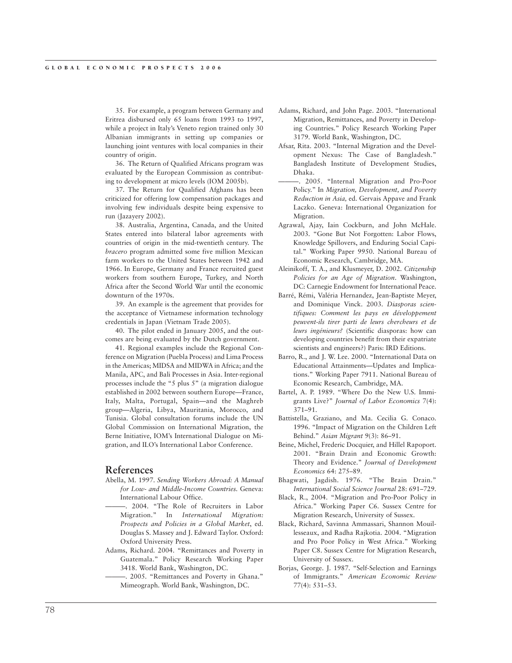35. For example, a program between Germany and Eritrea disbursed only 65 loans from 1993 to 1997, while a project in Italy's Veneto region trained only 30 Albanian immigrants in setting up companies or launching joint ventures with local companies in their country of origin.

36. The Return of Qualified Africans program was evaluated by the European Commission as contributing to development at micro levels (IOM 2005b).

37. The Return for Qualified Afghans has been criticized for offering low compensation packages and involving few individuals despite being expensive to run (Jazayery 2002).

38. Australia, Argentina, Canada, and the United States entered into bilateral labor agreements with countries of origin in the mid-twentieth century. The *bracero* program admitted some five million Mexican farm workers to the United States between 1942 and 1966. In Europe, Germany and France recruited guest workers from southern Europe, Turkey, and North Africa after the Second World War until the economic downturn of the 1970s.

39. An example is the agreement that provides for the acceptance of Vietnamese information technology credentials in Japan (Vietnam Trade 2005).

40. The pilot ended in January 2005, and the outcomes are being evaluated by the Dutch government.

41. Regional examples include the Regional Conference on Migration (Puebla Process) and Lima Process in the Americas; MIDSA and MIDWA in Africa; and the Manila, APC, and Bali Processes in Asia. Inter-regional processes include the "5 plus 5" (a migration dialogue established in 2002 between southern Europe—France, Italy, Malta, Portugal, Spain—and the Maghreb group—Algeria, Libya, Mauritania, Morocco, and Tunisia. Global consultation forums include the UN Global Commission on International Migration, the Berne Initiative, IOM's International Dialogue on Migration, and ILO's International Labor Conference.

#### **References**

- Abella, M. 1997. *Sending Workers Abroad: A Manual for Low- and Middle-Income Countries.* Geneva: International Labour Office.
- ———. 2004. "The Role of Recruiters in Labor Migration." In *International Migration: Prospects and Policies in a Global Market*, ed. Douglas S. Massey and J. Edward Taylor. Oxford: Oxford University Press.
- Adams, Richard. 2004. "Remittances and Poverty in Guatemala." Policy Research Working Paper 3418. World Bank, Washington, DC.
	- ———. 2005. "Remittances and Poverty in Ghana." Mimeograph. World Bank, Washington, DC.
- Adams, Richard, and John Page. 2003. "International Migration, Remittances, and Poverty in Developing Countries." Policy Research Working Paper 3179. World Bank, Washington, DC.
- Afsar, Rita. 2003. "Internal Migration and the Development Nexus: The Case of Bangladesh." Bangladesh Institute of Development Studies, Dhaka.
- ———. 2005. "Internal Migration and Pro-Poor Policy." In *Migration, Development, and Poverty Reduction in Asia,* ed. Gervais Appave and Frank Laczko. Geneva: International Organization for Migration.
- Agrawal, Ajay, Iain Cockburn, and John McHale. 2003. "Gone But Not Forgotten: Labor Flows, Knowledge Spillovers, and Enduring Social Capital." Working Paper 9950. National Bureau of Economic Research, Cambridge, MA.
- Aleinikoff, T. A., and Klusmeyer, D. 2002. *Citizenship Policies for an Age of Migration*. Washington, DC: Carnegie Endowment for International Peace.
- Barré, Rémi, Valéria Hernandez, Jean-Baptiste Meyer, and Dominique Vinck. 2003. *Diasporas scientifiques: Comment les pays en développement peuvent-ils tirer parti de leurs chercheurs et de leurs ingénieurs?* (Scientific diasporas: how can developing countries benefit from their expatriate scientists and engineers?) Paris: IRD Editions.
- Barro, R., and J. W. Lee. 2000. "International Data on Educational Attainments—Updates and Implications." Working Paper 7911. National Bureau of Economic Research, Cambridge, MA.
- Bartel, A. P. 1989. "Where Do the New U.S. Immigrants Live?" *Journal of Labor Economics* 7(4): 371–91.
- Battistella, Graziano, and Ma. Cecilia G. Conaco. 1996. "Impact of Migration on the Children Left Behind." *Asian Migrant* 9(3): 86–91.
- Beine, Michel, Frederic Docquier, and Hillel Rapoport. 2001. "Brain Drain and Economic Growth: Theory and Evidence." *Journal of Development Economics* 64: 275–89.
- Bhagwati, Jagdish. 1976. "The Brain Drain." *International Social Science Journal* 28: 691–729.
- Black, R., 2004. "Migration and Pro-Poor Policy in Africa." Working Paper C6. Sussex Centre for Migration Research, University of Sussex.
- Black, Richard, Savinna Ammassari, Shannon Mouillesseaux, and Radha Rajkotia. 2004. "Migration and Pro Poor Policy in West Africa." Working Paper C8. Sussex Centre for Migration Research, University of Sussex.
- Borjas, George. J. 1987. "Self-Selection and Earnings of Immigrants." *American Economic Review* 77(4): 531–53.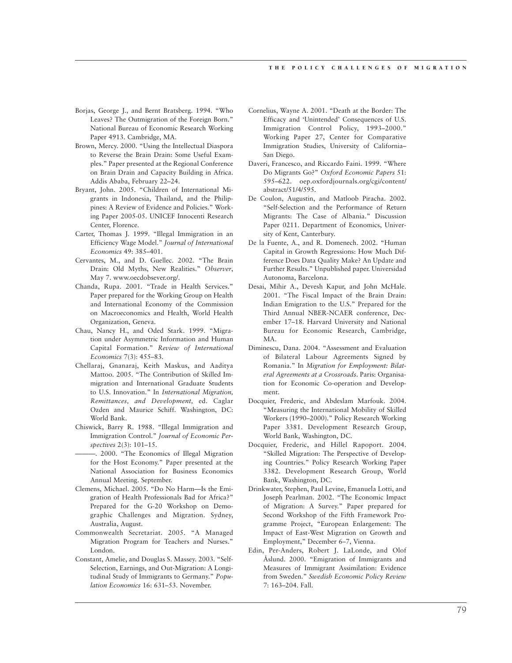#### THE POLICY CHALLENGES OF MIGRATION

- Borjas, George J., and Bernt Bratsberg. 1994. "Who Leaves? The Outmigration of the Foreign Born." National Bureau of Economic Research Working Paper 4913. Cambridge, MA.
- Brown, Mercy. 2000. "Using the Intellectual Diaspora to Reverse the Brain Drain: Some Useful Examples." Paper presented at the Regional Conference on Brain Drain and Capacity Building in Africa. Addis Ababa, February 22–24.
- Bryant, John. 2005. "Children of International Migrants in Indonesia, Thailand, and the Philippines: A Review of Evidence and Policies." Working Paper 2005-05. UNICEF Innocenti Research Center, Florence.
- Carter, Thomas J. 1999. "Illegal Immigration in an Efficiency Wage Model." *Journal of International Economics* 49: 385–401.
- Cervantes, M., and D. Guellec. 2002. "The Brain Drain: Old Myths, New Realities." *Observer*, May 7. www.oecdobsever.org/.
- Chanda, Rupa. 2001. "Trade in Health Services." Paper prepared for the Working Group on Health and International Economy of the Commission on Macroeconomics and Health, World Health Organization, Geneva.
- Chau, Nancy H., and Oded Stark. 1999. "Migration under Asymmetric Information and Human Capital Formation." *Review of International Economics* 7(3): 455–83.
- Chellaraj, Gnanaraj, Keith Maskus, and Aaditya Mattoo. 2005. "The Contribution of Skilled Immigration and International Graduate Students to U.S. Innovation." In *International Migration, Remittances, and Development,* ed. Caglar Ozden and Maurice Schiff. Washington, DC: World Bank.
- Chiswick, Barry R. 1988. "Illegal Immigration and Immigration Control." *Journal of Economic Perspectives* 2(3): 101–15.
	- ———. 2000. "The Economics of Illegal Migration for the Host Economy." Paper presented at the National Association for Business Economics Annual Meeting. September.
- Clemens, Michael. 2005. "Do No Harm—Is the Emigration of Health Professionals Bad for Africa?" Prepared for the G-20 Workshop on Demographic Challenges and Migration. Sydney, Australia, August.
- Commonwealth Secretariat. 2005. "A Managed Migration Program for Teachers and Nurses." London.
- Constant, Amelie, and Douglas S. Massey. 2003. "Self-Selection, Earnings, and Out-Migration: A Longitudinal Study of Immigrants to Germany." *Population Economics* 16: 631–53. November.
- Cornelius, Wayne A. 2001. "Death at the Border: The Efficacy and 'Unintended' Consequences of U.S. Immigration Control Policy, 1993–2000." Working Paper 27, Center for Comparative Immigration Studies, University of California– San Diego.
- Daveri, Francesco, and Riccardo Faini. 1999. "Where Do Migrants Go?" *Oxford Economic Papers* 51: 595–622. oep.oxfordjournals.org/cgi/content/ abstract/51/4/595.
- De Coulon, Augustin, and Matloob Piracha. 2002. "Self-Selection and the Performance of Return Migrants: The Case of Albania." Discussion Paper 0211. Department of Economics, University of Kent, Canterbury.
- De la Fuente, A., and R. Domenech. 2002. "Human Capital in Growth Regressions: How Much Difference Does Data Quality Make? An Update and Further Results." Unpublished paper. Universidad Autonoma, Barcelona.
- Desai, Mihir A., Devesh Kapur, and John McHale. 2001. "The Fiscal Impact of the Brain Drain: Indian Emigration to the U.S." Prepared for the Third Annual NBER-NCAER conference, December 17–18. Harvard University and National Bureau for Economic Research, Cambridge, MA.
- Diminescu, Dana. 2004. "Assessment and Evaluation of Bilateral Labour Agreements Signed by Romania." In *Migration for Employment: Bilateral Agreements at a Crossroads*. Paris: Organisation for Economic Co-operation and Development.
- Docquier, Frederic, and Abdeslam Marfouk. 2004. "Measuring the International Mobility of Skilled Workers (1990–2000)." Policy Research Working Paper 3381. Development Research Group, World Bank, Washington, DC.
- Docquier, Frederic, and Hillel Rapoport. 2004. "Skilled Migration: The Perspective of Developing Countries." Policy Research Working Paper 3382. Development Research Group, World Bank, Washington, DC.
- Drinkwater, Stephen, Paul Levine, Emanuela Lotti, and Joseph Pearlman. 2002. "The Economic Impact of Migration: A Survey." Paper prepared for Second Workshop of the Fifth Framework Programme Project, "European Enlargement: The Impact of East-West Migration on Growth and Employment," December 6–7, Vienna.
- Edin, Per-Anders, Robert J. LaLonde, and Olof Åslund. 2000. "Emigration of Immigrants and Measures of Immigrant Assimilation: Evidence from Sweden." *Swedish Economic Policy Review* 7: 163–204. Fall.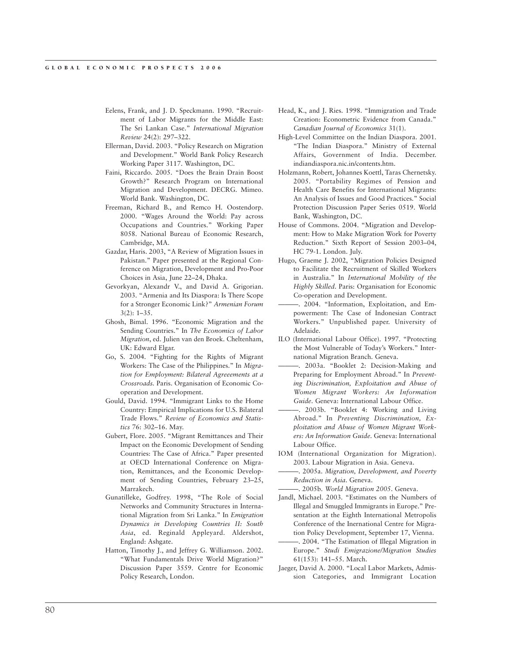- Eelens, Frank, and J. D. Speckmann. 1990. "Recruitment of Labor Migrants for the Middle East: The Sri Lankan Case." *International Migration Review* 24(2): 297–322.
- Ellerman, David. 2003. "Policy Research on Migration and Development." World Bank Policy Research Working Paper 3117. Washington, DC.
- Faini, Riccardo. 2005. "Does the Brain Drain Boost Growth?" Research Program on International Migration and Development. DECRG. Mimeo. World Bank. Washington, DC.
- Freeman, Richard B., and Remco H. Oostendorp. 2000. "Wages Around the World: Pay across Occupations and Countries." Working Paper 8058. National Bureau of Economic Research, Cambridge, MA.
- Gazdar, Haris. 2003, "A Review of Migration Issues in Pakistan." Paper presented at the Regional Conference on Migration, Development and Pro-Poor Choices in Asia, June 22–24, Dhaka.
- Gevorkyan, Alexandr V., and David A. Grigorian. 2003. "Armenia and Its Diaspora: Is There Scope for a Stronger Economic Link?" *Armenian Forum* 3(2): 1–35.
- Ghosh, Bimal. 1996. "Economic Migration and the Sending Countries." In *The Economics of Labor Migration*, ed. Julien van den Broek. Cheltenham, UK: Edward Elgar.
- Go, S. 2004. "Fighting for the Rights of Migrant Workers: The Case of the Philippines." In *Migration for Employment: Bilateral Agreeements at a Crossroads.* Paris. Organisation of Economic Cooperation and Development.
- Gould, David. 1994. "Immigrant Links to the Home Country: Empirical Implications for U.S. Bilateral Trade Flows." *Review of Economics and Statistics* 76: 302–16. May.
- Gubert, Flore. 2005. "Migrant Remittances and Their Impact on the Economic Development of Sending Countries: The Case of Africa." Paper presented at OECD International Conference on Migration, Remittances, and the Economic Development of Sending Countries, February 23–25, Marrakech.
- Gunatilleke, Godfrey. 1998, "The Role of Social Networks and Community Structures in International Migration from Sri Lanka." In *Emigration Dynamics in Developing Countries II: South Asia*, ed. Reginald Appleyard. Aldershot, England: Ashgate.
- Hatton, Timothy J., and Jeffrey G. Williamson. 2002. "What Fundamentals Drive World Migration?" Discussion Paper 3559. Centre for Economic Policy Research, London.
- Head, K., and J. Ries. 1998. "Immigration and Trade Creation: Econometric Evidence from Canada." *Canadian Journal of Economics* 31(1).
- High-Level Committee on the Indian Diaspora. 2001. "The Indian Diaspora." Ministry of External Affairs, Government of India. December. indiandiaspora.nic.in/contents.htm.
- Holzmann, Robert, Johannes Koettl, Taras Chernetsky. 2005. "Portability Regimes of Pension and Health Care Benefits for International Migrants: An Analysis of Issues and Good Practices." Social Protection Discussion Paper Series 0519. World Bank, Washington, DC.
- House of Commons. 2004. "Migration and Development: How to Make Migration Work for Poverty Reduction." Sixth Report of Session 2003–04, HC 79-1. London. July.
- Hugo, Graeme J. 2002, "Migration Policies Designed to Facilitate the Recruitment of Skilled Workers in Australia." In *International Mobility of the Highly Skilled*. Paris: Organisation for Economic Co-operation and Development.
- ———. 2004. "Information, Exploitation, and Empowerment: The Case of Indonesian Contract Workers." Unpublished paper. University of Adelaide.
- ILO (International Labour Office). 1997. "Protecting the Most Vulnerable of Today's Workers." International Migration Branch. Geneva.
- ———. 2003a. "Booklet 2: Decision-Making and Preparing for Employment Abroad." In *Preventing Discrimination, Exploitation and Abuse of Women Migrant Workers: An Information Guide*. Geneva: International Labour Office.
- -. 2003b. "Booklet 4: Working and Living Abroad." In *Preventing Discrimination, Exploitation and Abuse of Women Migrant Workers: An Information Guide*. Geneva: International Labour Office.
- IOM (International Organization for Migration). 2003. Labour Migration in Asia. Geneva.
- ———. 2005a. *Migration, Development, and Poverty Reduction in Asia*. Geneva.
	- ———. 2005b. *World Migration 2005*. Geneva.
- Jandl, Michael. 2003. "Estimates on the Numbers of Illegal and Smuggled Immigrants in Europe." Presentation at the Eighth International Metropolis Conference of the Inernational Centre for Migration Policy Development, September 17, Vienna.
- ———. 2004. "The Estimation of Illegal Migration in Europe." *Studi Emigrazione/Migration Studies* 61(153): 141–55. March.
- Jaeger, David A. 2000. "Local Labor Markets, Admission Categories, and Immigrant Location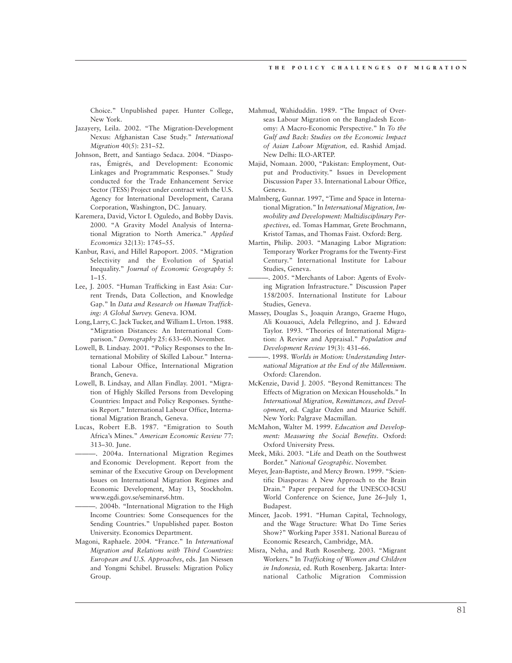Choice." Unpublished paper. Hunter College, New York.

- Jazayery, Leila. 2002. "The Migration-Development Nexus: Afghanistan Case Study." *International Migration* 40(5): 231–52.
- Johnson, Brett, and Santiago Sedaca. 2004. "Diasporas, Émigrés, and Development: Economic Linkages and Programmatic Responses." Study conducted for the Trade Enhancement Service Sector (TESS) Project under contract with the U.S. Agency for International Development, Carana Corporation, Washington, DC. January.
- Karemera, David, Victor I. Oguledo, and Bobby Davis. 2000. "A Gravity Model Analysis of International Migration to North America." *Applied Economics* 32(13): 1745–55.
- Kanbur, Ravi, and Hillel Rapoport. 2005. "Migration Selectivity and the Evolution of Spatial Inequality." *Journal of Economic Geography* 5: 1–15.
- Lee, J. 2005. "Human Trafficking in East Asia: Current Trends, Data Collection, and Knowledge Gap." In *Data and Research on Human Trafficking: A Global Survey.* Geneva. IOM.
- Long, Larry, C. Jack Tucker, and William L. Urton. 1988. "Migration Distances: An International Comparison." *Demography* 25: 633–60. November.
- Lowell, B. Lindsay. 2001. "Policy Responses to the International Mobility of Skilled Labour." International Labour Office, International Migration Branch, Geneva.
- Lowell, B. Lindsay, and Allan Findlay. 2001. "Migration of Highly Skilled Persons from Developing Countries: Impact and Policy Responses. Synthesis Report." International Labour Office, International Migration Branch, Geneva.
- Lucas, Robert E.B. 1987. "Emigration to South Africa's Mines." *American Economic Review* 77: 313–30. June.
	- ———. 2004a. International Migration Regimes and Economic Development. Report from the seminar of the Executive Group on Development Issues on International Migration Regimes and Economic Development, May 13, Stockholm. www.egdi.gov.se/seminars6.htm.
- ———. 2004b. "International Migration to the High Income Countries: Some Consequences for the Sending Countries." Unpublished paper. Boston University. Economics Department.
- Magoni, Raphaele. 2004. "France." In *International Migration and Relations with Third Countries: European and U.S. Approaches*, eds. Jan Niessen and Yongmi Schibel. Brussels: Migration Policy Group.
- Mahmud, Wahiduddin. 1989. "The Impact of Overseas Labour Migration on the Bangladesh Economy: A Macro-Economic Perspective." In *To the Gulf and Back: Studies on the Economic Impact of Asian Labour Migration,* ed. Rashid Amjad. New Delhi: ILO-ARTEP.
- Majid, Nomaan. 2000, "Pakistan: Employment, Output and Productivity." Issues in Development Discussion Paper 33. International Labour Office, Geneva.
- Malmberg, Gunnar. 1997, "Time and Space in International Migration." In *International Migration, Immobility and Development: Multidisciplinary Perspectives,* ed. Tomas Hammar, Grete Brochmann, Kristof Tamas, and Thomas Faist. Oxford: Berg.
- Martin, Philip. 2003. "Managing Labor Migration: Temporary Worker Programs for the Twenty-First Century." International Institute for Labour Studies, Geneva.
- ———. 2005. "Merchants of Labor: Agents of Evolving Migration Infrastructure." Discussion Paper 158/2005. International Institute for Labour Studies, Geneva.
- Massey, Douglas S., Joaquin Arango, Graeme Hugo, Ali Kouaouci, Adela Pellegrino, and J. Edward Taylor. 1993. "Theories of International Migration: A Review and Appraisal." *Population and Development Review* 19(3): 431–66.
- ———. 1998. *Worlds in Motion: Understanding International Migration at the End of the Millennium*. Oxford: Clarendon.
- McKenzie, David J. 2005. "Beyond Remittances: The Effects of Migration on Mexican Households." In *International Migration, Remittances, and Development*, ed. Caglar Ozden and Maurice Schiff. New York: Palgrave Macmillan.
- McMahon, Walter M. 1999. *Education and Development: Measuring the Social Benefits*. Oxford: Oxford University Press.
- Meek, Miki. 2003. "Life and Death on the Southwest Border." *National Geographic*. November.
- Meyer, Jean-Baptiste, and Mercy Brown. 1999. "Scientific Diasporas: A New Approach to the Brain Drain." Paper prepared for the UNESCO-ICSU World Conference on Science, June 26–July 1, Budapest.
- Mincer, Jacob. 1991. "Human Capital, Technology, and the Wage Structure: What Do Time Series Show?" Working Paper 3581. National Bureau of Economic Research, Cambridge, MA.
- Misra, Neha, and Ruth Rosenberg. 2003. "Migrant Workers." In *Trafficking of Women and Children in Indonesia,* ed. Ruth Rosenberg. Jakarta: International Catholic Migration Commission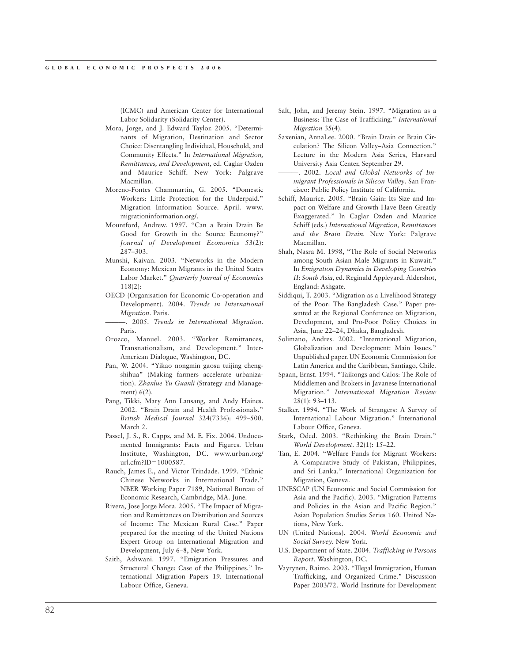(ICMC) and American Center for International Labor Solidarity (Solidarity Center).

- Mora, Jorge, and J. Edward Taylor. 2005. "Determinants of Migration, Destination and Sector Choice: Disentangling Individual, Household, and Community Effects." In *International Migration, Remittances, and Development,* ed. Caglar Ozden and Maurice Schiff. New York: Palgrave Macmillan.
- Moreno-Fontes Chammartin, G. 2005. "Domestic Workers: Little Protection for the Underpaid." Migration Information Source. April. www. migrationinformation.org/.
- Mountford, Andrew. 1997. "Can a Brain Drain Be Good for Growth in the Source Economy?" *Journal of Development Economics* 53(2): 287–303.
- Munshi, Kaivan. 2003. "Networks in the Modern Economy: Mexican Migrants in the United States Labor Market." *Quarterly Journal of Economics* 118(2):
- OECD (Organisation for Economic Co-operation and Development). 2004. *Trends in International Migration*. Paris.
- ———. 2005. *Trends in International Migration*. Paris.
- Orozco, Manuel. 2003. "Worker Remittances, Transnationalism, and Development." Inter-American Dialogue, Washington, DC.
- Pan, W. 2004. "Yikao nongmin gaosu tuijing chengshihua" (Making farmers accelerate urbanization). *Zhanlue Yu Guanli* (Strategy and Management) 6(2).
- Pang, Tikki, Mary Ann Lansang, and Andy Haines. 2002. "Brain Drain and Health Professionals." *British Medical Journal* 324(7336): 499–500. March 2.
- Passel, J. S., R. Capps, and M. E. Fix. 2004. Undocumented Immigrants: Facts and Figures. Urban Institute, Washington, DC. www.urban.org/ url.cfm?ID-1000587.
- Rauch, James E., and Victor Trindade. 1999. "Ethnic Chinese Networks in International Trade." NBER Working Paper 7189, National Bureau of Economic Research, Cambridge, MA. June.
- Rivera, Jose Jorge Mora. 2005. "The Impact of Migration and Remittances on Distribution and Sources of Income: The Mexican Rural Case." Paper prepared for the meeting of the United Nations Expert Group on International Migration and Development, July 6–8, New York.
- Saith, Ashwani. 1997. "Emigration Pressures and Structural Change: Case of the Philippines." International Migration Papers 19. International Labour Office, Geneva.
- Salt, John, and Jeremy Stein. 1997. "Migration as a Business: The Case of Trafficking." *International Migration* 35(4).
- Saxenian, AnnaLee. 2000. "Brain Drain or Brain Circulation? The Silicon Valley–Asia Connection." Lecture in the Modern Asia Series, Harvard University Asia Center, September 29.
- ———. 2002. *Local and Global Networks of Immigrant Professionals in Silicon Valley*. San Francisco: Public Policy Institute of California.
- Schiff, Maurice. 2005. "Brain Gain: Its Size and Impact on Welfare and Growth Have Been Greatly Exaggerated." In Caglar Ozden and Maurice Schiff (eds.) *International Migration, Remittances and the Brain Drain.* New York: Palgrave Macmillan.
- Shah, Nasra M. 1998, "The Role of Social Networks among South Asian Male Migrants in Kuwait." In *Emigration Dynamics in Developing Countries II: South Asia*, ed. Reginald Appleyard. Aldershot, England: Ashgate.
- Siddiqui, T. 2003. "Migration as a Livelihood Strategy of the Poor: The Bangladesh Case." Paper presented at the Regional Conference on Migration, Development, and Pro-Poor Policy Choices in Asia, June 22–24, Dhaka, Bangladesh.
- Solimano, Andres. 2002. "International Migration, Globalization and Development: Main Issues." Unpublished paper. UN Economic Commission for Latin America and the Caribbean, Santiago, Chile.
- Spaan, Ernst. 1994. "Taikongs and Calos: The Role of Middlemen and Brokers in Javanese International Migration." *International Migration Review* 28(1): 93–113.
- Stalker. 1994. "The Work of Strangers: A Survey of International Labour Migration." International Labour Office, Geneva.
- Stark, Oded. 2003. "Rethinking the Brain Drain." *World Development*. 32(1): 15–22.
- Tan, E. 2004. "Welfare Funds for Migrant Workers: A Comparative Study of Pakistan, Philippines, and Sri Lanka." International Organization for Migration, Geneva.
- UNESCAP (UN Economic and Social Commission for Asia and the Pacific). 2003. "Migration Patterns and Policies in the Asian and Pacific Region." Asian Population Studies Series 160. United Nations, New York.
- UN (United Nations). 2004. *World Economic and Social Survey*. New York.
- U.S. Department of State. 2004. *Trafficking in Persons Report*. Washington, DC.
- Vayrynen, Raimo. 2003. "Illegal Immigration, Human Trafficking, and Organized Crime." Discussion Paper 2003/72. World Institute for Development